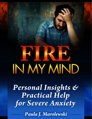# IN MY MIND

Personal Insights & Practical Help for Severe Anxiety

Paula J. Marolewski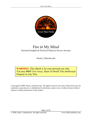

# Fire in My Mind Personal Insights & Practical Help for Severe Anxiety

Paula J. Marolewski

**WARNING:** This eBook is for your personal use only. You may **NOT** Give Away, Share Or Resell This Intellectual Property In Any Way

Copyright © 2009, Paula J. Marolewski. All rights reserved. No part of this book may be reprinted, reproduced, or distributed in electronic, print, web, or other format without express written permission of the author.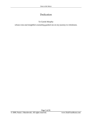# Dedication

## To Carole Murphy

whose wise and insightful counseling guided me on my journey to wholeness.

Page 3 of 81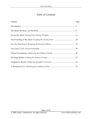# Table of Contents

| Chapter | Page |
|---------|------|
|         |      |
|         |      |
|         |      |
|         |      |
|         |      |
|         |      |
|         |      |
|         |      |
|         |      |
|         |      |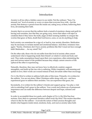# Introduction

Anxiety is all too often a hidden cancer in our midst. Not the ordinary "Sure, I'm stressed, too" level of anxiety or worry or stress that everyone lives with – but the anxiety that destroys a person from the inside out, eating away at them, hollowing their lives, devastating their faith.

Anxiety that is so severe that the sufferer feels a tumult of emotions: shame and guilt for having such anxieties, fear that they are going crazy, terror that others will reject or condemn them if they knew the truth, anger at their seeming inability to conquer the worries that gnaw at them, doubt that God knows, cares, or can do anything to help.

Such anxiety can sometimes be a sign of, or lead to, true anxiety disorders. Medication may be necessary to reclaim mental and emotional balance. And there, resistance rises again: "Surely, Christians don't have anxiety problems like this! I must not have enough faith! Medication … for my mind? No!"

On the other side, those who do not suffer from this level of anxiety often cannot understand what is happening inside their friend's or relative's mind and body and soul. They make assumptions based upon their own experience, often minimizing the pain and serious nature of the problem because they simply cannot conceive of the upheaval the other is experiencing.

Naturally, therefore, they may not know how to effectively comfort, support, strengthen, and build up the one who is suffering. While completely well-meaning and spoken in love, their words can wound instead of heal; devastate rather than encourage.

*Fire in My Mind* is written to address both sides of this issue. Primarily, it is written for the sufferer. You are not alone. Other Christians suffer along with you – and have experienced grace to address their anxieties. You can experience that grace, too.

Secondarily, it is written for the sufferer's friends and support group. You play a vital role in extending God's grace to the sufferer. Your words and actions are of paramount importance and can make the difference between despair and hope, sickness and health.

In order to accomplish these two goals, each chapter of *Fire in My Mind* has four sections. First, there is a personal narrative called *Inside My Mind*. This section describes what it is like for the sufferer – it reveals the nature of their anxious thoughts and details what happens inside mind, emotions, body, and soul as anxiety takes hold.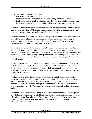The purpose of this section is three-fold:

- 1. to reassure the sufferer that they are not alone,
- 2. to give the sufferer words to explain what is going on inside of them, and
- 3. to give friends and family a glimpse inside the sufferer's mind so that they can better understand what it looks and feels like to be tormented by anxiety.

It should be understood that this section is intensely personal in nature and reflects the author's own experience. Others may have differing experiences, but this section can provide a basis for discussion and increased understanding.

The next section is called *Practical Matters*. This gives rubber-meets-the-road advice for the sufferer, and explains how the friends and family members who make up the support group can best reach out to and support the sufferer. It often addresses common mistakes and shows why they are harmful.

This section is, necessarily, limited in scope. It discusses key points the author has found particularly helpful or pertinent. It is not designed to be comprehensive in nature. Both the sufferer and the support group should engage in extensive reading and counseling to learn about anxiety and to gain the tools and techniques to overcome it in their specific circumstances. *Practical Matters* is a springboard to get you started in the right direction.

The third section, *Truth from the Word*, is a series of five biblical meditations designed to walk the sufferer through vital scriptural truths that address the topic of the chapter. These meditations can be read one-per-day as daily devotionals, or all together in a single sitting, as the reader prefers. They often build on one another, however, so they should be read in order.

It is important to understand the place of Scripture in an individual's struggle to overcome anxiety. Put simply, Scripture is only one part of a person's healing. Severe anxiety (whether or not the person has an actual "anxiety disorder") is a problem that impacts body, mind, emotions, and spirit. Healing must therefore address each and every one of those aspects. That may include counseling, medication, lifestyle changes, and more.

The biblical meditations in the *Truth from the Word* section are tools to help the spiritual aspect of anxiety. They were created to give the sufferer a solid spiritual framework in which healing can then take place. The author highly recommends that individuals suffering from severe anxiety seek professional help in order to address fully all the various aspects of anxiety.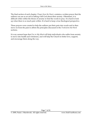The final section of each chapter, *Prayer from the Heart*, contains a written prayer that the sufferer can use as an aid in talking with God about their anxiety. Oftentimes, it is difficult while within the throes of anxiety to find the words to pray. It is hard to look up when there is so much pain within. It is hard to keep a true theological perspective.

These prayers were created to help the sufferer put their pain into words and to then move on from the pain to affirm the principles discussed in the *Truth from the Word* sections.

It is my earnest hope that *Fire in My Mind* will help individuals who suffer from anxiety to move into health and wholeness, and will help the Church to better love, support, and encourage them along the way.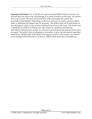**Important Disclaimer:** *Fire in My Mind* is a personal and biblical study of anxiety. It is not and does not claim to be a psychological or medical treatise on the topic, nor should it be used as such. The advice provided here reflects principles the author has personally found helpful. Depending on the level and type of anxiety a person suffers, other or additional techniques may be necessary. The author shall not be held liable for any damages or injury to any person resulting from access to this book. This book is not a substitute for medical or therapeutic intervention by qualified professionals. Individuals suffering from anxiety are advised to seek professional medical advice from an expert. The author does not diagnose or prescribe, or give out information regarding medication. Additionally, individuals who support a person with anxiety may benefit from seeking professional advice on how to address their particular circumstances.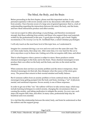# The Mind, the Body, and the Brain

Before proceeding to the first chapter, please read this important section. In my personal experience with severe anxiety and in my discussions with others who suffer from anxiety, I have become aware of a large area of general ignorance: that is, a lack of understanding regarding the interactions between the mind, the body, and the brain; and how those interactions produce and affect anxiety.

I am not an expert in either physiology or psychology, and therefore recommend strongly that those suffering from anxiety and those who support them read materials written by the professionals in this area. A good place to begin, and a book I highly recommend, is *The Anxiety Cure* by Dr. Archibald Hart, a noted Christian psychologist.

I will only touch on the most basic level of this topic here, as I understand it.

Imagine for a moment driving a car over and over and over the same dirt road. The car's tires make tracks, then deep ruts. After some time, it is very hard for the car to drive anywhere *except* in those ruts. Getting out of the rut requires skill, time, and effort.

That is what happens when a person is subject to stress. Stress produces certain chemical messengers in the body and in the brain. Those chemical messengers in turn produce their own effect on the body and the brain, and also on the mind and the emotions.

When someone does not have an anxiety problem and the stress is temporary, those chemical messengers do their job, then dissipate when the source of the stress goes away. The person then returns to their normal mindset and bodily balance.

But if someone suffers from an anxiety problem or from continual stress, the chemical messengers keep getting pumped into the body and brain, forming a "rut" of physical, mental, and emotional responses. Severe anxiety is one of these responses.

In order to get out of this "rut," the sufferer will have to take serious steps, which may include learning techniques to control anxiety, changing the circumstances that are causing the anxiety, and taking medication to mitigate the anxiety. In every case, such steps will require skill, time, and effort. In many cases, professional help may be beneficial and even essential.

It is vital that this relationship between the mind, body, and brain be understood so that the sufferer and the support group: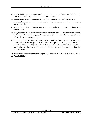- $\alpha$  Realize that there is a physiological component to anxiety. That means that the body itself is involved, not just the mind and the emotions.
- $\infty$  Identify what is inside and what is outside the sufferer's control. For instance, emotions themselves cannot be controlled, but a person's response to those emotions can be controlled.
- $\alpha$  Accept the fact that medication may be necessary to break or control this dangerous chemical cycle.
- $\alpha$  Recognize that the sufferer cannot simply "snap out of it." There are aspects that are under the sufferer's control, and there are aspects that are not. Only time, skill, and effort will effect a lasting change.
- $\alpha$  Understand that that this is not simply a "spiritual" problem. As humans, our body, mind, and spirit are integrated. What affects one aspect affects all parts to some degree. So when the body's chemical balance is off, mental and emotional anxiety can result; and when mental and emotional anxiety is present, it has an effect on the body's responses.

For a complete understanding of this topic, I encourage you to read *The Anxiety Cure* by Dr. Archibald Hart.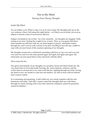# Fire in My Mind

## *Slowing Down Racing Thoughts*

## *Inside My Mind*

It is an endless cycle. When I wake, it is as if I never slept. My thoughts pick up on the very sentence where I fell asleep the night before – as if there was no break, not even an ellipsis to denote a time of unconscious oblivion.

Fatigue overshadows me so that – for a few moments – my thoughts are sluggish. Dully staring at my fears. Feeling the weight of my worries. Then, as I recognize that these same enemies are still here with me, my heart begins to pound. Adrenaline rushes through me, and I curl up with a moan on my bed, unwilling to face the day, unable to cope with yet more hours of the ceaseless spinning of my thoughts.

My thoughts scream into a whirlwind, mounting with force as I go over and over and over and over and over the same ground again and again and again and again. My mind picks up such speed that it aches and hurts with the effort.

Then comes the fire.

The speed and intensity of my thoughts, my anxieties, bursts into flame inside me. My very brain feels as if it is physically burning. My vision darkens, contracts, and the world closes in around me as my veins catch the fire, rippling through my body, forcing my heart to race, my breath to come fast and shallow, my skin to burn with an internal heat I cannot control.

It is consuming and agonizing. A hell within my own mind complete with fire and brimstone and sulfur. And still, I cannot control the thoughts that race with flame through my mind, burning with a fury that cannot be contained, cannot be quenched, cannot be satisfied …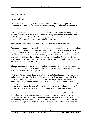## *Practical Matters*

#### **For the Sufferer**

Part of the terror of anxiety is the force and power of the racing thoughts that accompany it. Adrenaline reaches a fever pitch, sending the body into pure fight or flight mode.

Two things are essential at this point: to *slow down*, and to *focus on something outside of yourself*. To slow down, because your mind and body are running at breakneck speed; and to focus on something external, because the whole power of anxiety is that it wraps you up inside yourself and turns your mind into a prison cell.

Here are four practical steps to take to begin to slow down and shift focus:

**Reach out.** It is natural to retreat from others during the peak of anxiety: while you hate your racing thoughts, they are all-consuming. However, retreat is actually the worst thing you can do, because it makes it even easier to focus on your thoughts. This is the time you need to reach out to your support group. Call one of your friends or family members and tell them the substance of your racing thoughts. Be detailed. Get it all out on the table. Since you speak slower than you think, your mind will slow down as you verbalize your thoughts and fears.

**Change locations.** If possible, move to a different location: if you are in the house, get out. If you are at work, take a break and walk around. Physically changing location can assist you in mentally changing direction.

**Work out.** The problem with anxiety is that it tends to breed apathy: you want to sit and chew your fingernails, figuratively speaking. It will often take an act of will to physically get up and get moving, but it is worth it. Physical exercise releases endorphins into your body and brain, which can help you to feel better. Additionally, working out can distract you and therefore break the thought cycles in your mind. A competitive sport may be especially beneficial (i.e., racquetball rather than jogging), since it requires your mental attention in addition to your physical attention.

**Be creative.** Engage in an activity that will take up brain and thought space. You can't think about two things at once, so you want to try to shift your thoughts toward something positive and pleasant. As mentioned above, sports can fill that role. Hobbies are another primary source of creativity. Volunteer work may do the trick. Your job may draw upon your creativity. Whatever it is, try to give it 100% of your attention.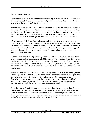#### **For the Support Group**

As the friend of the sufferer, you may never have experienced the terror of having your thoughts race out of control. Here are several points to be aware of as you reach out in love to help the person suffering from anxiety:

**Be ready to listen.** As stated in the previous section, the sufferer needs to talk out their thoughts – therefore, they need someone to be there to listen. That person is you. This is not, however, a five-minute conversation. It may take an hour or more for the person's thoughts to even begin to slow down. It is vital that you do not short-circuit this process. Don't rush it. Encourage the person to talk, and to get it all out on the table.

**Watch for mental circling.** The challenge with listening is to discern when talking becomes mental circling. The sufferer needs to talk out all their thoughts and fears. But *repeating* all those thoughts and fears multiple times is counterproductive. Therefore, be patient while they talk, but if you begin to hear the same things again and again, gently point out that now it is time to move forward. Recommend an activity, or change the focus of the conversation.

**Suggest an activity.** If at all possible, get together with the sufferer and do something active with them. Competitive sports, hobbies, etc., are very helpful. Be careful to avoid passive pastimes, i.e., TV or movies, because the sufferer can "tune out" whatever is on the screen and simply continue their previous thought cycles. If you can't get together personally with the sufferer, recommend something they can do on their own that will be engaging.

**Take the initiative.** Because anxiety breeds apathy, the sufferer may resist engaging in an activity. Part of them really does want to sit and stare at their anxious thoughts. They may literally not have the energy or the willpower to get up out of the chair by themselves. You may need to supply the energy and willpower they need, either by insisting that you engage in an activity together, or by literally encouraging them verbally until they get up and take the first step toward action.

**Point the way to God.** It is important to remember that when a person's thoughts are racing, they are essentially self-focused. Every sense is turned inward. Therefore, the sufferer cannot "see" God: they only see themselves and the things they fear. Draw their attention to God and away from themselves by directing them to verses that speak of God's might and power, his holiness, his love, his grace.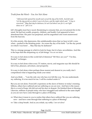*Truth from the Word – You Are Not Alone* 

*"Afterward Job opened his mouth and cursed the day of his birth. And Job said, 'Let the day perish on which I was to be born, and the night which said, "A boy is conceived." May that day be darkness; let not God above care for it, nor light shine on it." Job 3:1-4* 

Job's thoughts must have raced, threatening to consume him, an ever-present fire in his mind. He had lost wealth, property, children, and health. God appeared to have abandoned him. His pain was perpetual, and his anguished cries went unanswered from the heavens.

It is this anxiety, this depression, this unfathomable stress that we hear in Job's voice when – pushed to the breaking point – he curses the day of his birth: "Let the day perish on which I was born! … May that day be darkness!"

This is a strange passage in which to look for hope, but it is here, nevertheless. And this is the hope that this despairing cry of Job brings: *You are not alone.*

It is easy to feel alone in this world full of rhetorical "Hi! How are you?" "I'm fine, thanks!" exchanges.

It is easy to feel alone when every TV station, movie, and magazine says life should be full of fun, pleasure, adventure, and prosperity.

It is easy to feel alone when perhaps those nearest and dearest to you really don't comprehend what is happening inside your mind.

And you think … "I am the only one who has ever felt this way. No one understands my suffering. It is too much for me. I will be crushed under it."

But you are not alone. From Job's experience at the dawn of history to today's teeming billions, others have suffered and are suffering as you are now. And here is the reason this is a word of hope: Job did not end his days in despair. He finished them in blessing. Likewise, millions of people today who have struggled and suffered to the same depth as you are now have come through to a place of blessing.

- $\alpha$  What does it mean to you to realize that others have suffered like you are suffering now – and have come through that suffering to a place of blessing?
- Z Take a deep breath. And as you exhale, say softly: *I am not alone!*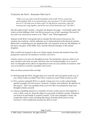## *Truth from the Word – Remember Who God Is*

*"Where were you when I laid the foundation of the earth! Tell me, if you have understanding. Who set its measurements, since you know? Or who stretched the line on it? On what were its bases sunk? Or who laid its cornerstone, when the morning stars sang together, and all the sons of God shouted for joy?" Job 38:4-7* 

Into the midst of Job's anxiety – his grief, his despair, his anger – God finally spoke. But what is at first baffling is this: God did not answer any of Job's questions! Not one! In fact, Job *never* received an answer as to "Why?" and "What happened?"

Instead, in Job 38-41, God guides Job to consider the full extent of his power, his wisdom, his creativity, and his authority as it is demonstrated in the physical creation. Before Job's wondering eyes are displayed the vast expanses of the sea, the brilliance of the dawn, the glory of the Milky Way, and the intricate interplay of the animal kingdom.

Why would God respond in this way? Quite simply, because Job needed to have his perspective renewed. He needed to *remember who God is.*

Anxiety causes us to turn our thoughts inward. Our perspective narrows until we see only ourselves, feel only our pain, and hear only our racing thoughts. If we want to slow our thoughts down, then it is important to turn our eyes outside of ourselves. One way to do that is to actively remember who God is.

Here are three exercises that can help:

- $\infty$  Read through Job 38-41. Imagine that you were Job, and God spoke in this way to you. What would you think? Feel? How would you react? What would you do?
- $\alpha$  Pray a prayer using Job 38-41 as a guide. Using your own words, acknowledge specific examples of God's power, creativity, wisdom, and authority. Be objective in this prayer – don't use examples from your own life's circumstances; keep your thoughts outside yourself.
- $\alpha$  Choose something natural as a reminder of God's creative power and authority: a rock, a shell, a nut, etc. Keep the object on your desk or kitchen counter. Whenever you look at it and handle it, remind yourself, "God is the Almighty Creator. He created the whole world, including this thing. He holds all the power in the Universe. I will worship him, because he alone is God."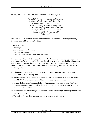## *Truth from the Word – God Knows What You Are Suffering*

*"O LORD, You have searched me and known me. You know when I sit down and when I rise up; You understand my thought from afar. You scrutinize my path and my lying down, And are intimately acquainted with all my ways. Even before there is a word on my tongue, Behold, O LORD, You know it all." Psalm 139:1-4* 

Think of it: God himself knows the full scope and content and horror of your racing thoughts. Look at the words: God has:

- … searched you
- … known you
- … understands your thoughts
- … scrutinizes your path
- … is intimately acquainted with all your ways

This is no detached or distant God. He is involved intimately with us every day, and every moment. When you suffer from anxiety, it is easy to feel that God has abandoned you: this psalm is your shield against those frantic thoughts that tell you that you are bereft of God's assistance. And it starts with this reassuring promise: *God knows what you are suffering*.

- $\alpha$  What does it mean to you to realize that God understands your thoughts even your most anxious, racing ones?
- $\infty$  What does it mean to you to know that you can say whatever is in your heart and mind to God, since he knows it all before you even speak a word?
- $\alpha$  Acknowledge each of your anxieties to God, naming them one by one. Don't seek for answers at this time. Simply tell God where you are at, what you are thinking, and how much it hurts.
- $\alpha$  Affirm that God has heard you and knows your every thought and the pain that you are experiencing.
- $\alpha$  Thank God for hearing you, and for knowing you so intimately.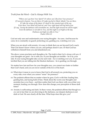*Truth from the Word – God Is Always With You* 

*"Where can I go from Your Spirit? Or where can I flee from Your presence? If I ascend to heaven, You are there; if I make my bed in Sheol, behold, You are there. If I take the wings of the dawn, if I dwell in the remotest part of the sea, Even there Your hand will lead me, and Your right hand will lay hold of me. If I say, 'Surely the darkness will overwhelm me, And the light around me will be night,' Even the darkness is not dark to You, and the night is as bright as the day Darkness and light are alike to You." Psalm 139:6-12* 

God not only sees and understands your racing thoughts – he cares. And because he cares, he is constantly on guard: protecting you, guiding you, watching over you.

When you are struck with anxiety, it is easy to think that you are beyond God's reach. That God doesn't know where you are, and perhaps doesn't care. Or that God has withdrawn himself from you and abandoned you.

The above verses proclaim such thoughts a lie. The truth is that *God is always with you*: if your thoughts are great – he is with you. If your thoughts are terrible – he is by your side. If your racing thoughts take you far and wide – he is watching over you. If you are terrified that you are falling into the blackest darkness – he is guiding you through.

No matter how fast and how far your thoughts race, you cannot race faster or farther than God's hand, and you are never outside of the love of his heart.

- $\alpha$  What does it mean to you to know that God is all around you, protecting you on every side, even when you cannot "sense" his presence?
- $\alpha$  The psalmist affirms that no matter where he goes, God is with him: leading him, guiding him, and laying hold of him. Think about the worst your thoughts and anxieties have ever been – and then realize that God was there with you at that very moment, leading you through. How does this change your perception of those dark times?
- $\alpha$  Anxiety is suffocating and dark. In these verses, the psalmist affirms that though we cry out in fear that we are drowning in the darkness, our deepest darkness is not dark to God. He sees clearly all the time. What hope does this give you?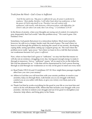```
Truth from the Word – God's Grace is Sufficient
```
*"And He has said to me, 'My grace is sufficient for you, for power is perfected in weakness.' Most gladly, therefore, I will rather boast about my weaknesses, so that the power of Christ may dwell in me. Therefore I am well content with weaknesses, with insults, with distresses, with persecutions, with difficulties, for Christ's sake; for when I am weak, then I am strong." 2 Corinthians 12:9-10* 

In the throes of anxiety, when your thoughts are racing out of control, it is natural to pray desperately that God would "take this problem away." We want it gone. Out. Finished. Over.

Sometimes, God grants that prayer in a miraculous fashion. Much more typically, however, he calls us to a longer, harder road: the road of grace. The road where we learn to work through the problem by studying the causes of our anxiety, developing coping skills, seeing specialists, setting up a support group, etc. The road where the problem never really "goes away," but where we learn to live a full life that includes our weaknesses because *God's grace is sufficient*.

Now, when we hear that God's grace is "sufficient," we may feel that that means we will eke out an existence, struggling every day, having just enough energy to make it through to tomorrow. Not so: "sufficient" means "all we need to live to the fullest the life God has planned for us." A life that will be characterized by God's power flowing through us and through our weaknesses as we rely on his grace to meet our every need.

- $\alpha$  Read Psalm 139:13-16 and 2 Corinthians 12:7-10. How might these passages together affect how you view your anxiety?
- $\alpha$  Affirm to God that you will trust him with your anxiety problem: to resolve your anxieties, help you through them, walk beside you as you struggle with them, comfort you as you suffer with them, or give you victory over them, just as he deems best.
- $\alpha$  Thank God that he works everything for the good in your life as you trust him and seek to do his will (Romans 8:28). Affirm that this includes your struggle with your anxieties. Ask him to redeem your struggle and use it for good: to strengthen your character, help others, and bring glory to his Name.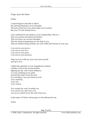#### *Prayer from the Heart*

Father,

I cannot begin to describe to others the spinning blackness of my thoughts. The pain as the fire in my mind rages out of control. But you, O Lord, already know.

I am comforted by the intimacy of my relationship with you – That you enclose me behind and before. That you know my anxious thoughts. That my darkest imaginings are not dark to you. That my farthest flung anxieties are well within the bounds of your care.

I can rest in your power. I can rest in your love. I can rest in your grace. I can rest in your presence.

Help me now to lift my eyes away from myself and up to you.

I affirm the splendor of your magnificent creation: whether I look at the aurora borealis lighting the sky with cosmic brilliance, or I cup a ladybug in my palm and feel the tickle of her tiny feet. In everything, I see your hand at work. Your creativity. Your care. Your control.

You created me, and I worship you. You care for me, and I love you. You are in control of my life, and I trust you.

In the name of Christ, whose grace is all-sufficient for me,

Amen.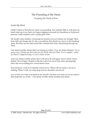# The Pounding of My Heart *Escaping the Clutch of Fear*

#### *Inside My Mind*

I didn't realize at first that my heart was pounding. Not until the fifth or sixth time my hand crept up to my chest, my fingers digging in around my breastbone as if physical pressure could somehow slow a pulse gone wild.

My breath comes shallow, increasing my tension even as it drains my strength. Most fears shift and change day by day, a cacophony that plucks my nerves to the breaking point. But there are two that sound like constant bass notes, thrumming through my chest:

I am afraid, terribly afraid, that I am losing my mind. *Crazy,* my brain whispers. *You're going crazy. Nobody sane feels what you feel, thinks what you think. You've snapped – and if you haven't snapped already, it's just a matter of time.* 

And I am afraid, terribly afraid, that I will never be well again. Never whole. Never healed. Never happy. Despair is like the wail of an out-of-tune oboe, playing high above the never-ending low-voiced throb of fear.

Fear paralyzes. I feel as if I literally cannot move. When I lift my hand, I can see it shaking. When I walk, my steps drag and my shoulders are bowed.

I try to hear you when you speak to me, but all I can hear over and over in my mind is that desperate cry of fear – I am afraid, terribly afraid, terrified and afraid …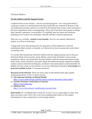#### *Practical Matters*

#### **For the Sufferer and the Support Group**

I suffered from severe anxiety – and its accompanying fear – for a long time before I could put a name to it and learned tools that could help me confront it. Because I did not understand anxiety and how it worked in the human body, brain, mind, and spirit, I did not comprehend what was happening. All my life I had had a firm grasp on things: been cheerful, optimistic, level-headed. To suddenly find my mind and emotions spinning out of control was terrifying. I literally felt that I must be going mad.

Hear me very carefully: **Anxiety is not insanity.** The two are entirely different in nature, as well as in treatment.

A huge part of my fear sprang from my ignorance of this simple fact. I did not understand either anxiety or insanity, so I allowed my fear to assume the worst: that I was going crazy.

To counter this natural fear, both the sufferer and the support group need to become informed about severe anxiety, panic attacks, and anxiety disorders. Learn causes, symptoms, effects, and treatments. Become familiar with the interactions between the brain, body, mind, emotions, and spirit. Study the different therapy methods available, explore various relaxation techniques, and learn what medications could potentially be helpful. We fear what we do not know or do not understand, therefore, **knowledge is a powerful antidote to fear**. To become informed:

**Research on the Internet.** There are many sites on the Internet that offer quality, professional advice. A few to check out are:

- $\alpha$  The National Institute of Mental Health http://www.nimh.nih.gov/health/topics/anxiety-disorders/index.shtml
- Z **Anxiety Disorders Association of America**  http://www.adaa.org/
- $\alpha$  **MedLine Plus** http://www.nlm.nih.gov/medlineplus/anxiety.html

**Read books.** Dr. Archibald Hart's book *The Anxiety Cure* is a great place to start, and there are many more. Don't shy away from reading entire books on the subject: information is a key component to overcoming anxiety.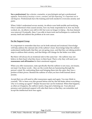**See a professional.** See a doctor, counselor, or psychologist and get a professional opinion. *Particularly if anxiety is severe, constant, and life-impacting, it is important not to self-diagnose*. Professionals have the training and tools needed to overcome anxiety and panic.

When I didn't understand severe anxiety, its effects were both terrible and terrifying. Once I understood what caused anxiety, how my body responded to it, how my brain worked, etc., its effects were still *terrible* but were no longer *terrifying* – the fear element was removed. Eventually, then, I was able to learn tools and techniques to confront the anxiety itself and address the problem at its root cause.

#### **For the Support Group**

It is important to remember that fear can be both rational and irrational. Knowledge will help address the rational side of the sufferer's fears. Knowledge helps the sufferer understand intellectually that they are not going crazy, and that they are taking positive steps to address their anxiety, and that things will change for the better over time.

But there will always be an irrational side to this same fear – the sufferer may not believe in their heart what they know in their head. That is why they will need your **reassurance and affirmation** for their emotional support.

When you offer reassurance, state specifically that the sufferer is not crazy, not insane, not mad. Use those words – they are the words that are hammering through the person's mind. By confronting them and bringing them into the open, they lose a portion of their power. Remind the sufferer of what you have both learned about anxiety.

Accept that you will need to offer reassurance again and again. You may think to yourself, "We've been over this ground before and he/she felt better about everything – why is it coming up again?" Simply because fear can be irrational. When that happens, as often as it happens, the sufferer needs a hug and a listening ear. Your physical presence and emotional support will calm their fears so that they can remember and accept the intellectual facts once again.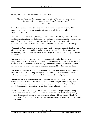*Truth from the Word – Wisdom Provides Protection*

*"For wisdom will enter your heart and knowledge will be pleasant to your soul; discretion will guard you, understanding will watch over you." Proverbs 2:10-11* 

A constant sidekick to anxiety, fear strikes when our resources are already at low ebb, hammering at the door of our soul, threatening to break down the walls of our weakened resistance.

If you are in that place of fear, I have good news for you: God has given us the tools we need to strengthen the walls that guard our heart and to protect us against the relentless attack of the enemy. Those tools are wisdom, knowledge, discretion, and understanding. Consider these definitions from the American Heritage Dictionary:

**Wisdom** is an "understanding of what is true, right, or lasting." Considering that fear tells us lies, distorts our thinking, and traps us in anxieties about the past or future, what better protection could we have than a firm grip on the truth, on the good, and on the eternal?

**Knowledge** is "familiarity, awareness, or understanding gained through experience or study." Fear blinds us. It tells us that we cannot understand it, cannot escape it, cannot control it. But God promises that knowledge will make us aware of ourselves and of how our fears work, and will give us an understanding of how to overcome them.

**Discretion** is "freedom of action or judgment." Fear not only blinds us; it binds us. It paralyzes our choices, freezing us in place. God's answer is discretion: he himself reaffirms our choices, providing us with freedom of action and judgment.

**Understanding** is "the quality of comprehension; discernment." Part of the power of fear is confusion. When we are afraid, we cannot think straight, and so things seem much worse than they often are. Understanding grounds us, providing us with a foundation under our feet so that we can discern the right path to take.

 $\infty$  We gain wisdom, knowledge, discretion, and understanding through studying Scripture, praying, reading books on spiritual matters and about anxiety issues, receiving counseling from professionals, and talking with family and friends (to name just a few methods). What are you doing now in these areas? What new means can you try?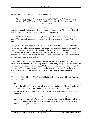*Truth from the Word – Do Not Be Afraid of Fear*

*"Do not be afraid of sudden fear, nor of the onslaught of the wicked when it comes; for the LORD will be your confidence and will keep your foot from being caught." Proverbs 3:25-26* 

I remember the first time these verses really stood out to me: I was caught by that strange, paradoxical statement "Do not be afraid of sudden fear." But that is, indeed, a vital key to recovering from anxiety: do not be afraid of fear.

Fear often feeds itself in an ever-strengthening cycle. We are anxious, so we become afraid. The fear itself increases our anxiety, which then increases our fear. And so on, and so on.

God gives us this command to break into that cycle: "Do not be afraid of sudden fear." For the person suffering from anxiety, it is an acknowledgment that fear is indeed the constant companion of anxiety. It recognizes the fact that fear can appear seemingly out of nowhere, terrorizing us. But it then puts up a STOP sign: "Stop the cycle! Yes, you have anxiety. Yes, you are afraid. But don't be afraid of the anxiety. Don't be afraid of the fear. Don't let it go any farther."

The command itself would be useless if it were not for the next verse: "for the LORD will be your confidence, and will keep your foot from being caught." Stop the cycle – do not be afraid of the fear. Why? Because God is on your side. Because when you can't trust yourself, you can trust your Shepherd. Because when you can't see the way forward, the one who is the Way, the Truth, and the Life will guide and guard your steps.

"Trust Me," God whispers. "Don't be afraid of fear. I'm right here with you. Take the next step forward."

- $\infty$  When fear and anxiety strike, practice deep breathing from the diaphragm, focusing on your breathing. Repeat to yourself as you inhale and exhale, "Breathe in. Breathe out. Relax. Slow down." Or, "Relax. Slow down. God is here. I am safe."
- $\alpha$  Memorize two or three verses, such as the ones above, that you can turn to when fear rises.
- $\infty$  Decide not to let fear dictate your actions or responses. Fear tends to paralyze us or cause us to act irrationally. When fear hits, slow yourself down, think carefully, and deliberately choose how you will respond and what you will do next. Make it *your* choice, not your *fear's* choice.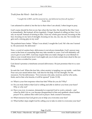*Truth from the Word – Seek the Lord*

*"I sought the LORD, and He answered me, and delivered me from all my fears." Psalm 34:4* 

I am ashamed to admit it, but the fact is that when I am afraid, I often forget to pray.

God's name should be first on my lips when the fear hits. He should be the One I turn to immediately. But instead, all too regularly, I forget. Instead of calling on him, I try to rely on myself. Instead of turning to him, I turn my whole gaze inward, focusing on the fear, focusing on my lack of strength, focusing on me, me, me, me, me. No wonder fear gets such a strong grip on my soul!

The psalmist knew better: "When I was afraid, I sought the Lord. He's the one I turned to. He answered. He delivered."

Now, a word of caution here: deliverance is not always immediate. God's answer may come in the form of counseling that may take months or years. God will definitely call you to give it your 100%. God may require that you make changes to your lifestyle to relieve your overall stress level. God might ask you to look certain fears dead in the eye that you have avoided for years.

God doesn't promise a timeframe around deliverance. He just promises that it is a sure thing.

So seek the Lord. When the fear hits, when anxiety is tangling you up inside – seek him. Pour out your needs before him. Ask him for his help. For his strength. For his resources. For his deliverance. "For everyone who asks, receives; and he who seeks, finds; and to him who knocks, it will be opened" (Luke 11:10).

- $\alpha$  What is your first response when fear hits? What do you do? Why?
- $\alpha$  Do you truly believe that God is willing and able to deliver you from your fears? Why or why not?
- $\alpha$  Have you ever, in essence, demanded or expected God to work a miracle and when he didn't do so, you became disappointed in him and apathetic about further prayer? If so, address this with God in prayer. Seek counsel if necessary.
- $\alpha$  What resources has God given you to help you overcome your fear?
- $\alpha$  What further steps might God be calling you to take in order to overcome your fear?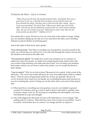## *Truth from the Word – God is in Control*

*"When He got into the boat, His disciples followed Him. And behold, there arose a great storm on the sea, so that the boat was being covered with the waves; but Jesus Himself was asleep. And they came to Him and woke Him, saying, 'Save us, Lord; we are perishing!' He said to them, 'Why are you afraid, you men of little faith?' Then He got up and rebuked the winds and the sea, and it became perfectly calm. The men were amazed, and said, 'What kind of a man is this, that even the winds and the sea obey Him?'" Matthew 8:23-27* 

Fear attacks like a storm. We feel as if we are a tiny boat in the midst of a huge, roiling sea, our emotions sliding up one side of a wave and down the other, and everything darkness except for flashes of terrifying panic.

And in the midst of that storm, Jesus speaks:

*"You will not perish."* Fear blows everything out of proportion. Ground yourself in the truth: you will not die; you will survive. You will come through the anxiety and out into the freedom to be found on the other side.

*"You need not be afraid."* No matter how much your emotions are in a tumult, no matter how fierce the anxiety, no matter how paralyzing the panic attack, Jesus calls you to look to him and keep your faith and trust in him. You *can* bring your emotions back under control, you *can* learn to relieve the anxiety, you *can* escape the threat of panic attacks.

*"I am in control."* Why do we look to Jesus? Because he is in control. In the words of the old hymn, "The waves and winds still know his voice who stilled them while he walked below." Does he always bring instant relief? No. In fact, not typically. But he is in *control*: he knows how much you can handle, he is extending his grace and resources to you, he is charting the course to bring you out the other side as you trust in him step by step.

- $\infty$  When fear blows everything out of proportion, it can be very helpful to ground yourself. For instance, pick up a rock or shell or flower and study it carefully: note its texture, shape, color, etc. By focusing on something real and tangible, your fears will diminish in scope and strength.
- Z One of the biggest lies that feeds our fear is the belief that we *cannot* change. That nothing will *ever* improve. When that fear rises, look it in the eye and affirm, "God is in control. And because he is in control, I *can* change and life *can* improve."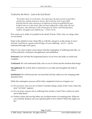*Truth from the Word – Look at the End Result*

*"Be of sober spirit, be on the alert. Your adversary, the devil, prowls around like a roaring lion, seeking someone to devour. But resist him, firm in your faith, knowing that the same experiences of suffering are being accomplished by your brethren who are in the world. After you have suffered for a little while, the God of all grace, who called you to His eternal glory in Christ, will Himself perfect, confirm, strengthen and establish you." I Peter 5:8-10* 

Fear causes us to suffer. It is painful to be afraid. It hurts. That's why we cringe when we are fearful.

Hope is the antidote to fear. Hope fills us with life, and gives us the energy to move forward. And here is a great word of hope: *all* your suffering – *all of it* – can be redeemed through God's grace.

Peter is very clear in these verses about what the redemption of suffering looks like: we will be perfected, confirmed, strengthened, and established.

**Perfected:** God will take the fragmented pieces of our lives and make us whole and complete.

**Confirmed:** We will understand fully who we are in Christ and the freedom that brings.

**Strengthened:** We will be able to stand firm in our faith and strengthen the faith of others.

**Established:** We will become the very best that God has called us to be, bringing forth abundant fruit.

While this redemptive process will be fully completed in heaven, it begins *now!*

- $\infty$  Do you know who you are in Christ? Consider doing a study of the verses where the term "in Christ" appears.
- $\infty$  Do you know anyone who is suffering from anxiety or fear? How could you reach out to help them?
- $\alpha$  Positive action and serving others are excellent means of countering fear. What are you currently doing to use your spiritual gifts to serve others? What else might you do?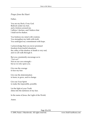#### *Prayer from the Heart*

Father,

You are my Rock, O my God. Bedrock under my feet, and a fortress around me. I affirm, I declare, and I believe that I shall not be shaken.

You buttress my mind with wisdom. You strengthen my faith with truth. You undergird my commitment with hope.

I acknowledge that you never promised freedom from fearful situations: the valley of the shadow of death is very real, and we all walk through it.

But you consistently encourage us to *"Fear not!"*  Not on our own strength – but as we rely upon you.

Give me the courage to face my fear.

Give me the determination to learn, to grow, and to change.

Give me Your Spirit to make the impossible, possible.

Let the light of your Truth shine into the darkness of my fear.

In the name of Jesus, the Light of the World,

Amen.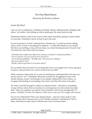# No One Must Know

## *Removing the Burden of Shame*

## *Inside My Mind*

I put on such a smiling face. Chatting in friendly fashion, shaking hands, mingling with others. Yet within, I am holding on with a death grip. My mask must not slip.

Sometimes business calls on me to put on this mask. Sometimes going to church makes it a necessity. Sometimes I put it on just to go to the store.

No one must know. If only I suffered from a broken leg – I would not mind walking with a crutch. If only I was plagued by diabetes – I could offer thanks for my insulin. But there is something wrong with my brain, my mind, the deepest part of myself. And I can hear the voices that cause me shame:

*"Christians don't suffer from depression, anxiety, or mental or emotional problems." "You're anxious? You just need to trust God more!" "You're being disobedient – the Bible says, 'Be anxious for nothing.'" "Just let go and let God!" "Besides, what do you have to be anxious about?"*

Do you think I haven't tried? Do you think that I have not sought God's word, agonized in prayer, and put forth every ounce of effort into my faith?

When someone is physically ill, we pray for healing but understand that God does not always answer "yes." Sometimes the person remains ill, struggling for years with chronic disease or pain. And though we are deeply saddened by God's choice, we recognize that healing or not healing is his choice, and that all is done to his glory.

Yet when I am bold enough to confess my deepest shame – that there is something wrong with my mind, that my emotions are running haywire, that anxiety has taken hold – then it is somehow my fault if I am not healed. I don't have enough faith. Or prayer. Or belief. Or trust. Or whatever. *What do you mean, you still struggle with anxiety?*

Do you not understand? This is my deepest shame – and now I have guilt as well … guilt because I don't measure up to your Christian standard. Guilt because I fall so often, need help so many times. Guilt because I have not been healed …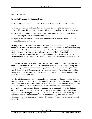## *Practical Matters*

#### **For the Sufferer and the Support Group**

The most important fact to grab hold of is that **anxiety itself is not a sin**. Consider:

- $\alpha$  If you are a parent and your child is very sick, it is natural to be anxious. There would be something seriously wrong with your parental instincts if you were not.
- $\alpha$  If you lost your job and your money was running out, you would be anxious. It would be superhuman not to feel such anxiety.
- $\alpha$  If you had a serial killer loose in the neighborhood, you would be anxious. You would be foolish not to be.

**Anxiety in and of itself is a warning**: a warning that there is something wrong or dangerous in our lives. As such, it is God-given. How we *respond* to anxiety-producing situations is where the dividing line comes in: if we let the anxious situation produce *constant worrying* – worrying that is characterized by a "lack of trust in God and a failure to fully understand His plan and provision for us" (*The Anxiety Cure*, Dr. Archibald Hart, p. 16) – then we are doing what the Bible condemns when it says that we should not worry.

If, however, we take the anxiety as a warning sign and seek to *do something constructive*  about the situation (i.e., seek medical attention for the child, pursue job-hunting with increased vigor, or lock your doors at night, to go back to the above examples), and *commit the results to God's care*, then we are on solid ground. We will probably still be concerned or even anxious about the situation, but we will not be worrying about it. There is a definite difference.

Now turn to the question of a severe anxiety problem. As we discussed in the section entitled "The Mind, the Body, and the Brain" at the beginning of this study, prolonged stress – *from any source or combination of sources* – can generate anxiety because it affects the chemical balance in the body and the brain. Therefore, this anxiety again is *a warning sign*: a warning that there is something out of balance in your life that must be addressed. **The anxiety itself is not a sin.** You can make a choice: you can fall into perpetual worry about your anxiety (which the Bible forbids), or you can take positive steps to address the situations that are causing the anxiety, and learn tools and techniques to cope with and/or overcome the anxiety. You do your part, and commit the results to God.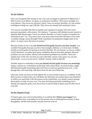#### **For the Sufferer**

Once you recognize that anxiety is not a sin, you can begin to approach it objectively. I liken it more to an illness, an injury, or a physical condition. I have poor eyesight, so I wear glasses. They focus my physical vision. I have an anxiety disorder, so I use certain techniques to help me cope with life. They focus my mental and emotional vision.

You can use examples like this to explain your situation to people who don't have personal experience with anxiety. For instance, "A person with diabetes needs insulin to regulate their blood sugar. I have an anxiety disorder, so I take Lexapro to regulate my serotonin levels." Or, "You know how your knee aches from that old injury every time a weather change comes through? Well, sometimes circumstances trigger pain in my mind – it comes out in the form of anxiety."

Because anxiety is not a sin, **you should not feel guilty because you have anxiety**. You wouldn't feel guilty because you have bad eyesight, diabetes, or a bum knee. Neither should you feel guilty for having an anxiety disorder. We are human, we live in a fallen world: therefore, we suffer from many conditions that are less than optimal. Physical problems are one of them. Mental and emotional problems are another. These are simply facts of life. We can learn to cope with both, and by God's grace we can rise above both – even if we are never "healed" entirely while in this life.

Another aspect to remember is that **you should not feel guilty because you need help**. Again, a person in a wheelchair needs help with certain tasks. As much as they might find that personally frustrating, they don't have to feel any guilt because of it – even though they will need help with those tasks for the rest of their life.

Likewise, when you learn to look objectively at your anxiety issues as a condition in life that you have to deal with, you will likely see that there are certain times and situations in which you need help. Like the person in the wheelchair, you simply cannot manage those times or tasks on your own. You may find that personally frustrating, but it should not engender guilt, even if you have to ask for help in those areas for the rest of your life.

#### **For the Support Group**

If I had to give one word of admonition, it would be this: **Watch your tongue!** You cannot fathom how wounding it is to the person who is suffering from anxiety to hear thoughtless, off-the-cuff remarks and pat answers such as: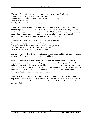*"Christians don't suffer from depression, anxiety, or mental or emotional problems." "You're anxious? You just need to trust God more!" "You're being disobedient – the Bible says, 'Be anxious for nothing.'" "Just let go and let God!" "Besides, what do you have to be anxious about?"*

The fact is, Christians suffer from all sorts of depression, anxiety, and mental and emotional problems, even when they are trusting God with everything they've got and are doing their best to be submissive and obedient to his will. If you're ever wondering about whether something is appropriate to say, substitute a physical ailment for the anxiety and see if the statement still makes sense. For instance:

*"Christians don't suffer from diabetes, broken legs, or heart trouble." "You're deaf? You just need to trust God more!" "You're being disobedient – otherwise you wouldn't have tendonitis." "Just let go of your Parkinson's disease and let God handle your life!" "Besides, why should you have high blood pressure?"*

You can see how each of the above statements is ridiculous, and how offensive it would be to the sufferer to hear something like that said to them.

Next, I encourage you to **be upfront, open, and matter-of-fact** about the sufferer's anxiety problems. Don't talk around it, or use euphemisms to disguise it: that just makes the person feel that there is something shameful about their anxiety. You can ask bluntly, "How is your anxiety level today?" or "You sound worn out – are you having a panic attack?" By calling it what it is, without apology or embarrassment, you remove the stigma that they naturally might otherwise feel.

Finally, **reassure** the sufferer that you are there to support them whenever they need help. Remind them that it is okay to need help; we all need help at various times and in various ways – everybody is in the same boat. This is part of what it means to be the family of God.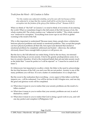```
Truth from the Word – All Creation is Fallen
```
*"For the creation was subjected to futility, not of its own will, but because of Him who subjected it, in hope that the creation itself will be set free from its slavery to corruption into the freedom of the glory of the children of God." Romans 8:20-21* 

When we think of "the Fall" in Genesis 3, we tend to think of it in terms of sin entering the world. What we sometimes forget is the full extent of the Fall: because of sin, the whole creation fell. The whole creation was "subjected to futility." The whole creation was "enslaved to corruption." Everything from screw-ups in our DNA to global warming is the result of the Fall.

Why is this important to understand? Because many times, people draw a distinction between physical problems and mental or emotional problems. They accept that people can have physical problems all their life, but expect and demand that mental or emotional problems be completely addressed and healed – otherwise, the sufferer obviously doesn't have enough faith or prayer or will power, etc.

But the fact is, the Fall affected our entire being. It led to the too-busy, too-stressed lifestyles that bring on severe anxiety. It led to the genetic predispositions some of us have to anxiety disorders. It led to the irrational beliefs that aid and abet anxiety (such as the belief that "I must be perfect or I will be rejected" or "I must be in control at all times").

It's bittersweet, but important to swallow whole: the bitter is the need to acknowledge the fact that because of the Fall, you and your life are not perfect. Anxiety is one of the many problems you will face. It is not a matter of condemnation: it is a simple fact.

But the sweet is the realization that everything – every aspect of this fallen world that impacts you – will be redeemed. You will be set free in full. It begins now, and one day the great and glorious work will be completed.

- $\infty$  What does it mean to you to realize that your anxiety problems are the result of a fallen creation?
- $\alpha$  What does it mean to you to realize that your anxiety problems are not, in and of themselves, sinful?
- $\infty$  What does it mean to you to realize that God is doing a good work in you, and will one day perfect and complete it (Philippians 1:6)?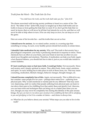*Truth from the Word – The Truth Sets Us Free*

*"You shall know the truth, and the truth shall make you free." John 8:32* 

The shame associated with having anxiety problems is based on a series of lies. The devil, "the father of lies" (John 8:44), keeps us tangled up in these half-truths and untruths to keep us from getting the help that we need. If we don't get the help that we need, he knows that we will never be all that God intends for us to be, and that we will never be able to help others in turn. If he can only keep us *down*, he can keep us *out* of the game.

Here are some of his favorite lies – and the truths that can set us free:

**I should never be anxious.** As we stated earlier, anxiety is a warning sign that something is wrong. As such, every healthy person should feel anxiety at certain times.

**I shouldn't take medication for my anxiety.** Why not? The truth is that anxiety has a physiological component: your body is producing chemicals in response to stress. Those chemicals have an effect on your brain, and your brain in turn has an effect on your mind (your thoughts) and emotions. Therefore, if medication can help your body regain a lost chemical balance, you should feel free to take it, just as you would take insulin to control diabetes.

**If I just would pray more or had more faith, I would get better.** Not necessarily. Stress and anxiety aren't simply spiritual in nature. They affect body, brain, mind, emotions, and spirit. As such, healing has to take place in each of those areas, too. That may mean counseling, medication, lifestyle changes, behavior changes, thought changes, etc.

**I should become completely free of this.** Again, not necessarily. This is difficult to say, but consider: some people live for years – perhaps their entire lives – suffering from physical pain. Why would emotional or mental pain be any different? That may seem very depressing, until we realize that people suffering from physical pain can learn to rise above their pain to live fulfilling lives that satisfy them and glorify God. Likewise, you can learn tools and techniques that can bring you to a better place than you are now, though you may never be completely free during this lifetime of the pain anxiety brings. *But you can learn to rise above your anxiety to live a fulfilling life that will be satisfying to you and glorifying to God.* It is a matter of choice – and choice is always free.

 $\alpha$  What lies do you believe about your anxiety? What steps can you take to live in the truth?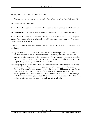#### *Truth from the Word – No Condemnation*

*"There is therefore now no condemnation for those who are in Christ Jesus." Romans 8:1*

No condemnation. Think of it:

**No condemnation** because of your anxiety, since it is the by-product of a fallen world.

**No condemnation** because of your anxiety, since anxiety in and of itself is not sin.

**No condemnation** because of your anxiety, because even if you sin as a result of your anxiety (i.e., by excessive worrying or by speaking or acting inappropriately), you can be forgiven in Christ Jesus!

Hold on to this truth with both hands: God does not condemn you, so there is no cause for shame!

- $\alpha$  Say the following out loud, in private: "I have an anxiety problem. It's serious. It affects every part of my life. I am not ashamed of having anxiety. God does not condemn me for having anxiety. I can get help for my anxiety. I am free to talk about my anxiety with others. I can help others who have anxiety." Which parts were easy for you to say? Which parts were difficult? Why?
- $\alpha$  Some people, of course, will from ignorance or malice condemn you for having anxiety. They will spiritually abuse you, claiming that you are an inferior sort of Christian if you suffer from anxiety. Accept the fact: this will happen to you. Decide now: How will you respond? What, if anything, will you say? What will you do to ease the pain their hurtful words and actions will cause? Plan now for these things, so that when it happens you will be able to recover your balance swiftly, rather than letting such thoughtlessness and lies send you into a tailspin.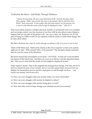## *Truth from the Word – God Works Through Weakness*

*"And as He passed by, He saw a man blind from birth. And His disciples asked Him, saying, 'Rabbi, who sinned, this man or his parents, that he should be born blind?' Jesus answered, 'It was neither that this man sinned, nor his parents; but it was in order that the works of God might be displayed in him.'" John 9:1-3* 

Does God ordain sickness, whether physical, mental, or emotional? God is in complete and sovereign control, yes; but, because of our free will, he also allows many things to happen that are not part of his perfect will – sin, war, crime, etc. Sickness, too. It's all part of being in a fallen world. So my opinion is that he doesn't ordain these things, but he does allow them.

But this I do know for a fact: *he works through everything in life, if we turn it over to him.*

Think of the blind man. Think of his shame as the oh-so-superior words were spoken right next to him: "Who sinned? Him, or his parents?" The disciples simply assumed that sin was the cause of his blindness.

But Jesus turned that assumption on its head: "*NEITHER*." In that one word, he lifted the shame off the blind man. And then, he went on to fill the void the departed shame left: "this was in order that the works of God might be displayed in him."

Hope replaces shame. That is the magnificent message Jesus brings. Not only are we to have no shame because of our anxiety, but we can have great hope, because God can display his tremendous power and love and grace in and through our lives … not *despite* our anxiety, but *because* of it.

- $\alpha$  How can your struggle with your anxiety make you more Christ-like?
- $\alpha$  How can your struggle with anxiety be helpful to others?
- $\alpha$  How can your struggle with anxiety bring glory to God?
- $\infty$  How does this word of hope change your attitude toward your anxiety?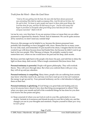*Truth from the Word – Share the Good News* 

*"And as He was getting into the boat, the man who had been demon-possessed was entreating Him that he might accompany Him. And He did not let him, but He said to him, 'Go home to your people and report to them what great things the Lord has done for you, and how He had mercy on you.' And he went away and began to proclaim in Decapolis what great things Jesus had done for him; and everyone marveled." Mark 5:18-20* 

Let me be very, very firm here: if you are anxious it does *not* mean that you are either possessed or oppressed by demons. Period. End of statement. We can be quite anxious all by ourselves; we don't need any outside help!

However, this passage can be helpful to us, because the demon-possessed man probably felt something we have struggled with: *shame*. Shame that for so many years he was wild, mad, and tormented. If I put myself in his shoes, I imagine that he not only wanted to go with Jesus because Jesus had healed him, but because he didn't want to go back to his own people. Why? Because of shame. He probably wanted to start somewhere new, where no one would know his past and his deep, dark secrets.

But Jesus sent him right back to the people who knew his past, and told him to shine the light on those deep, dark secrets. What a tough commission! But Jesus knew that:

**Personal testimony is powerful.** People will ignore philosophy. They will overlook theory. They will yawn through ideas. But when you confront them with *your story*, they will sit up and pay attention.

**Personal testimony is compelling.** Many times, people who are suffering from anxiety may know what they need to do, and may even have read up on it, but can't summon the energy to get up and try. Your personal testimony can be a vital stimulus to help get them on their feet.

**Personal testimony is glorifying.** If God brings you great help and healing and you never let anyone know about it, how does that bring encouragement to others? Only when you open your mouth and tell of the wonderful things he has done for you does God receive his due praise and glory.

 $\infty$  Keep a journal of where you see God at work in your life, particularly in your anxiety. Include in it resources and friends he puts in your life to help you, and the changes you see in your thoughts and emotions. Prepare yourself to share *your story* to *God's glory*!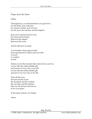## *Prayer from the Heart*

Father,

Through Jesus, you demonstrated your great love: For the blind, sick, and lame. For sinners, harlots, and convicts. For the poor, the unclean, and the helpless.

Jesus never turned anyone away. He removed the shame. Removed the stigma. Removed the curse.

And he still does so today.

I can breathe a deep sigh of relief, knowing that Jesus' hands reach out still – to touch to comfort to heal.

Thank you for the freedom that comes from your love. Let me take this indescribable gift and treasure it every day of my life. Let me take this indescribable gift and pass it on every day of my life.

Take all that I am: the best and the worst the strongest and the weakest the successes and the failures. May my life always and forever be for your glory.

In the name of Jesus, my Healer,

Amen.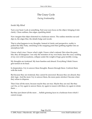# The Crazy Cycle

## *Facing Irrationality*

## *Inside My Mind*

Turn your head. Look at something. Feel your eyes focus on the object, bringing it into clarity. Clean outlines, fine edges, sparkling detail.

Now imagine that object distorted in a funhouse mirror. The outline stretches out and dips in, the edges blur, the details bulge and recede.

That is what happens to my thoughts. Instead of clarity and perspective, reality is pulled like Silly Putty, stretching to the snapping point then gobbing together into an amorphous ball.

I know what's true. I know what's right. I know what's rational. But when the panic hits, they all disappear. I see only the monsters of my own brain, hear the crazy cackling of my own wild accusations, collapse under the weight of logic gone terribly wrong.

My thoughts are irrational. My fears baseless and absurd. Everything I think I know gets turned on its head.

In desperation, I try to answer these thoughts. Reason through them. Confront them with the truth.

But because they are irrational, they cannot be answered. Because they are absurd, they defy logic. And the more I try to answer them, the more panic-stricken I become when they refuse to disperse.

Then I fear all the more, because maybe they are true. Maybe they are real. But they can't be, so I try again to answer them, try again to reason with them, try again to refute them …

But they just distort all the more … hellish grinning faces in a funhouse from which I cannot escape.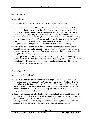## *Practical Matters*

#### **For the Sufferer**

This can be tough, but here are some practical techniques that work very well:

- Z **Don't react to the irrational thoughts.** That's right accept them, acknowledge them, admit that they're there. Admit that they're ugly and even upsetting. But imagine your thoughts like a river – flowing into you, through you, and out the other side. By not attaching importance to the thoughts – for instance, by not freaking out because of them or fighting them tooth and nail – you are desensitizing your brain and body to them. You're mentally shrugging and saying, *"So what?"* Your brain and body will learn over time that odd and distorted and irrational thoughts aren't very important, and therefore are not a cause for anxiety.
- $\alpha$  **Don't try to logic your way out.** It is your natural inclination to "prove" that the thoughts are illogical and irrational. *Don't.* If you try to rationalize your way out of the cycle, you are actually just reinforcing the cycle by attributing importance to the thoughts that are troubling you.
- $\infty$  **Do engage in another thought or activity.** Turn away, physically or mentally, and go do something else. Ideally, something that is 100% engaging. By breaking into the thought cycle with another – non-anxious – thought or action, you will slow the mental circling and decrease its power.

#### **For the Support Group**

Here are a few do's and don'ts:

- $\infty$  **Don't try to combat irrational thoughts with logic.** I know it's tempting to say, "You know that's illogical, don't you?" The fact is, the sufferer *does* know that it's illogical most of the time … that's not the problem. The problem is that he or she is *obsessing* about the issue – rational or not. Irrational thoughts are not like a knotted shoelace that you can pick at until it's free again. They are a Gordian knot, and the only way to untangle it is to slice right into it.
- $\infty$  **Do have the sufferer explain clearly what is bothering them.** Part of the fear of the crazy cycle is bound up in a fear of talking it out. The sufferer knows how crazy and stupid their thoughts will sound, so they're afraid to let anyone know. But by bringing them into the light of day, it helps reveal the thoughts for what they are, helps slow down the mental cycle, and helps break into the irrationality.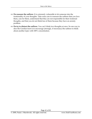- Z **Do reassure the sufferer.** It is extremely vulnerable to let someone into the irrationality of your thoughts. Take extra care to reassure the sufferer that you love them, care for them, understand that they are not responsible for their irrational thoughts, and that you do not think less of them because they have an anxiety problem.
- $\infty$  **Do try to distract the sufferer.** You can't think two thoughts at once. So one way to slice the Gordian knot is to encourage (strongly, if necessary) the sufferer to think about another topic with 100% concentration.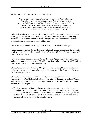*Truth from the Word – Praise God at All Times* 

*"Though the fig tree should not blossom, and there be no fruit on the vines, though the yield of the olive should fail, and the fields produce no food, though the flock should be cut off from the fold, and there be no cattle in the stalls, yet I will exult in the LORD, I will rejoice in the God of my salvation. The Lord GOD is my strength, and he has made my feet like hinds' feet, and makes me walk on my high places." Habakkuk 3:17-19* 

Habakkuk was being serious: complete drought and famine could hit Israel. This was no exaggeration. But the fact is, the crazy cycle of irrationality does the same thing inside me: I pick a point, and from there, I imagine the worst that life could become, until finally, the worst of the worst is all I can see.

One of the ways out of the crazy cycle is to follow in Habakkuk's footsteps:

**Name your fears and irrational thoughts.** Habakkuk named his fears: no figs, no fruit, no olives, no food, no flocks, no cattle. He didn't argue with them, deny them, or avoid them. He named them.

**Move away from your fears and irrational thoughts.** Again, Habakkuk didn't name and re-name and re-name his fears. He didn't stay in the place of fear. He said his piece, then moved on to more productive territory.

**Choose to focus on God.** Where did he go? He turned to thoughts of God. Likewise, replace your crazy cycle irrational thoughts with thoughts of the Creator, the Lord of the Universe, your Savior.

**Choose to rejoice in God.** Habakkuk didn't just think about God: he took action and worshiped him. Worship is a choice. It's a matter of the will, not the emotions. You can feel terrible, even riddled with anxiety, and choose to praise God for who he is and for what he has done in your life.

 $\alpha$  Try this sequence right now, whether or not you are obsessing over irrational thoughts or fears. Name your most common concerns or irrational thoughts, then mentally put them aside, focus on the attributes and actions of God, and praise him for them. It will take time and practice to move yourself into this sequence and to see results from it, but begin the discipline now.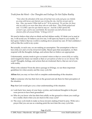*Truth from the Word – Our Thoughts and Feelings Do Not Define Reality* 

*"Now when the attendant of the man of God had risen early and gone out, behold, an army with horses and chariots was circling the city. And his servant said to him, 'Alas, my master! What shall we do?' So he answered, 'Do not fear, for those who are with us are more than those who are with them.' Then Elisha prayed and said, 'O LORD, open his eyes that he may see.' And the LORD opened the servant's eyes, and he saw; and behold, the mountain was full of horses and chariots of fire all around Elisha." II Kings 6:15-17* 

We tend to believe that what we think and feel defines reality. If I think you're mad at me, I will avoid you. If I believe you love me, I will open my heart to you readily. If I feel upset, I believe that my world is crashing down around my ears. If I feel confident, I will act like the world is my oyster.

But actually, in each case, we are making an assumption. The assumption is that we have *fully seen* and *correctly interpreted* reality. Based upon that assumption, we then respond with the thoughts, feelings, and actions that we believe are appropriate.

Unfortunately, anxiety tends to give us tunnel vision so that *we cannot fully see reality*, and it negatively biases our minds so that *our perceptions of what we see are skewed*. The result? Thoughts, feelings, and actions that are irrational; that is, that are out of sync with reality.

What is the solution? From the above passage in II Kings, we see three important guidelines for when anxiety and the crazy cycle hit:

**Affirm** that you may *not* have full or complete understanding of the situation.

**Talk** to someone who has their feet on the ground and ask them for their perception of the situation.

**Pray** that God would give you a clear understanding of the situation.

- $\infty$  Look back: how many of your fears, worries, and irrational thoughts in the past were proven to have been groundless?
- $\infty$  Who do you know who has their feet solidly on the ground to whom you could go for a reality check when you are stuck in the crazy cycle?
- $\alpha$  The crazy cycle tends to make us focus inward, making it hard to pray. Write out a prayer that you can use as a starting point the next time the crazy cycle hits.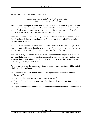*Truth from the Word – Walk in the Truth*

*"Teach me Your way, O LORD; I will walk in Your truth; unite my heart to fear Your name." Psalm 86:11*

Paradoxically, although it is impossible to logic your way out of the crazy cycle, truth is the ultimate antidote to it. Logic wants to answer the frantic questions the crazy cycle brings. Truth avoids the crazy cycle altogether and affirms true, eternal reality: who God is, who we are, and who we are in relationship with him.

Therefore, another method of putting the brakes on the crazy cycle is to spend time in the Word. Learn it. Study it. Meditate on it. Wrap it around your mind like a cloak. Hide behind it as a shield.

When the crazy cycle hits, refute it with the truth. The truth that God is with you. That God is in control. That you don't have to be perfect. That you don't have to be ashamed. That you can change your life. That God's grace is sufficient for you.

But it is not enough to simply refute the crazy cycle with the truth; you have to *walk in the truth*. That means that you have to make decisions based on the truth – not on your irrational thoughts or beliefs. Then you have to act and carry out those decisions, rather than falling into the paralysis of fear.

As you learn to do so, the crazy cycle will slow and stop, and your heart will be united – whole, complete, and at peace – in God.

- $\infty$  Be objective: how well do you know the Bible (its content, doctrine, promises, stories, etc.)?
- $\alpha$  How much Scripture have you committed to memory?
- $\alpha$  How much time do you currently spend reading, studying, and meditating on the Bible?
- $\infty$  Do you need to change anything in your life to better know the Bible and the truth it teaches?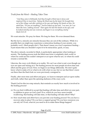## *Truth from the Word – Healing Takes Time*

*"And they came to Bethsaida And they brought a blind man to Jesus and implored Him to touch him. Taking the blind man by the hand, He brought him out of the village; and after spitting on his eyes and laying His hands on him, He asked him, 'Do you see anything?' And he looked up and said, 'I see men, for I see them like trees, walking around.' Then again He laid His hands on his eyes; and he looked intently and was restored, and began to see everything clearly." Mark 8:22-25* 

We want miracles. We pray for them. We long for them. We even demand them.

But the fact is, miracles are miracles because they are out-of-the-ordinary. While it is possible that you might may experience a miraculous healing of your anxiety, you probably won't. Most people don't. That doesn't mean you won't experience healing – it just means that you shouldn't expect it to be miraculous, quick, or easy.

The above miracle, recorded in Mark, is particularly appropriate when looking at anxiety. The healing process took the blind man from a completely dark world, to where he could see but couldn't interpret or act upon what he saw, to where he could resume a normal life.

Likewise, the crazy cycle blinds us to reality. We can't see what is real, even though our eyes are open and staring at it. The healing process for most people involves time and effort and the grace of God. First, we begin to see things differently. We don't quite know what to make of it or what to do with what we see, but we see that there's more out there than the black hole we were previously consigned to.

Finally, after more time and effort and grace, we learn to interpret and act upon reality and truth, rather than upon the spinning darkness of the crazy cycle.

Thank God for this two-step miracle, that reminds us exactly how much is involved in the healing process!

- $\infty$  Do you find it difficult to accept that healing will take time and effort on your part, in addition to grace on God's part? If so, which do you have more trouble swallowing: that healing will take time, or that healing will take effort? Why?
- $\alpha$  How much time and effort have you put into your healing process? Do you have a recovery plan in place? Do you have a support group? Do you have resources you can rely on? If not, what do you need to do to make these things happen?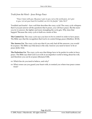*Truth from the Word – Jesus Brings Peace* 

*"Peace I leave with you; My peace I give to you; not as the world gives, do I give to you. Let not your heart be troubled, nor let it be fearful." John 14:27* 

Troubled and fearful – how well that describes the crazy cycle! The crazy cycle whispers that if you just answer all the questions that it poses, you will have peace. But the more you try to answer, the tighter and more strangling the cycle gets. Why does that happen? Because the crazy cycle is built on a series of lies:

**The Control Lie.** The crazy cycle says you have to be in control in order to have peace. The Bible says that the recognition that God is in control brings peace (Matthew 28:18).

**The Answer Lie.** The crazy cycle says that if you only had all the answers, you would be at peace. The Bible says that Jesus is the only Answer you need to know to be at peace (John 14:6).

**The Perfection Lie.** The crazy cycle says that things have to be perfect in order to have peace. The Bible says that God is at work in an imperfect world to bring about his will, and therefore you can be at peace (Romans 8:28).

- $\infty$  Which lies do you tend to believe, and why?
- $\alpha$  What verses can you guard your heart with, to remind you where true peace comes from?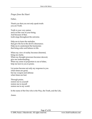## *Prayer from the Heart*

Father,

Thank you that you not only speak truth: you are Truth.

Truth is your very nature and is at the core of your being. And because of that, truth sings throughout the universe.

Help me to learn the melodies that give the lie to the devil's dissonance. Help me to understand the harmonies that bring order and balance to life.

When my view of reality becomes distorted, bring me clarity. When my thought processes becomes skewed, give me understanding. When my sense of proportion is out of kilter, help me turn to you in praise.

Let praise become not only my response to you when times are good, but my weapon and defense when times are bad.

Through praise, restore me to yourself restore me to myself restore me to my world.

In the name of the One who is the Way, the Truth, and the Life,

Amen.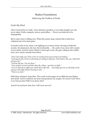# Shaken Foundations

## *Addressing the Problem of Doubt*

*Inside My Mind*

Once I toured Dover Castle. A key defensive position, it was often fought over, but never taken. Walls, ramparts, towers, portcullises … Dover was believed to be impregnable.

But it came close to falling once. When the enemy dug a tunnel that would have collapsed one of its main gates.

So doubt works in my mind. I am fighting on so many fronts, striving to battle the anxiety, the depression, the fear, the irrationality … the castle of my inner self is under severe attack, and just when I think it cannot get worse, the gate collapses into rubble and a new enemy assaults from below.

*"Does God really care? If he is love, he would answer your prayers for healing." "God may be able, but he is obviously not willing to help you. And if that is the case, what kind of God is he?" "God has left you. You are alone." "Your prayers ascend no farther than the ceiling – you have no faith." "You are doomed to suffer your whole life in this hell … and maybe you are no Christian at all, and you will suffer hell for eternity as well …" "There is no God."*

With these whispers, hope flees. The words on the pages of my Bible become lifeless and sterile. Terror constricts my heart and paralyzes my tongue. Do I know God? Have I ever known him? Will I ever know him?

And if I do not know him, how will I ever survive?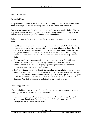### *Practical Matters*

#### **For the Sufferer**

The pain of doubt is one of the worst that anxiety brings on, because it snatches away hope. With hope, we can do anything. Without it, we want to curl up and die.

And it is tough not to doubt, when everything inside you seems to be shaken. Plus, you may have been on the receiving end of spiritual abuse by people who told you that if you only had more faith, you wouldn't be anxious (a big lie!).

So here are three truths to hold on to as the storms of doubt cause you to be tossed about:

- $\infty$  **Doubts do not mean lack of faith.** Imagine your faith as a solidly built ship. Your doubts are the waves crashing against the ship, tossing it here and there. But this is exactly what the ship has been built to withstand, so you are safe and secure. You may *feel* frightened – but you *are* safe. Why? Because the ship has been built by a carpenter named Jesus. *He* is the "Author and Perfecter" of your faith (Hebrews 12:2).
- $\infty$  God can handle your questions. Don't be ashamed to come to God with your doubts. He knows what you are thinking and feeling. Keep the lines of communication open with God by praying, reading the Word, and acting in obedience to him – he will see you through.
- $\alpha$  **Don't expect answers to your doubts delivered on a silver platter.** I know I have sought the Scriptures many times, hoping to find that *one verse* that would clear up all my doubts so that I would never question again. You won't get it, so don't expect it. What you *will* get, as you seek the Lord and study his Word, is wisdom and character. And that, ultimately, is far better than any single answer.

#### **For the Support Group**

When doubt hits, it is devastating. Here are four key ways you can support the person suffering from anxiety who is in the throes of doubt:

 $\alpha$  Listen. Encourage the sufferer to talk out his or her doubts. Doubts get magnified when they are kept inside. Exposing them to the light helps take away the "bogeyman" aspect that is so terrifying.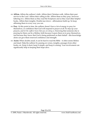- $\alpha$  **Affirm.** Affirm the sufferer's faith. Affirm their Christian walk. Affirm their past service to the Lord. Affirm their calling in life. Affirm them as they pray, however faltering it is. Affirm them as they read the Scriptures and as they read other helpful books. Affirm their insights. Doubts tear down – affirmations build up. So keep affirming them in every way you can.
- $\alpha$  **Pray.** At this point in time, the sufferer doesn't have a lot of energy to pray for themselves, or confidence that God will respond to prayer at all. So step up your prayers, and *let the sufferer know that you are doing so*. Knowing that someone else is praying for them can be a lifeline, both because it spurs them on to pray themselves, and because they know that God is being petitioned on their behalf – this knowledge alone can give them renewed confidence and strength.
- $\alpha$  **Assist.** When doubts assail, it can be hard to read the Bible it often seems lifeless and dead. Help the sufferer by passing on verses, insights, passages from other books, etc. Keep it short, keep it simple, and keep it coming. Your involvement can significantly help in keeping their hope alive.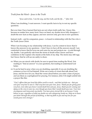*Truth from the Word – Jesus is the Truth* 

*"Jesus said to him, 'I am the way, and the truth, and the life…'" John 14:6* 

When I am doubting, I want answers. I want specific facts to lay to rest my specific questions.

But over time I have learned that facts are not where truth really lies. I know this, because no matter how many facts I have on hand, my doubts never fully disappear. I doubt the new facts as they appear, and new answers only give rise to new questions.

Instead, truth – and its companion, peace – is found in relationship with the One who *is* the Truth: Jesus Christ.

When I am focusing on my relationship with Jesus, I can be content to know that *he* knows the answers to my questions – I don't have to have all the answers myself. I am comforted to know that he loves me and cares for me and protects me – in and through my doubts. I am perfectly safe from the storm of doubt when I know and have confidence in the Captain who stands at the helm of my ship. The storm may still rage, but I know that he will see me safely to shore.

- $\alpha$  When you are struck with doubt, be sure to spend time reading the Word. Not reading to "find an answer" to your questions, but reading to understand God better.
- $\infty$  It can be hard to pray when you are doubting, especially if you are doubting the existence or love of God himself. Write out a series of verses that talk about God, Jesus, and his love for you. Read the verses aloud before you enter a time of prayer, and use them as a springboard for praying. For instance, John 3:16 might unfold into a prayer like this:

*"God, I affirm that you loved this fallen world so much – and that includes me – that you sent your very best to save it. That very best was your Son, Jesus. Thank you for giving your very best, even when you knew I would doubt him and you. Jesus, thank you for coming and dying on the cross to save me, even though you knew that I would doubt you now. Your love encompasses and transcends my doubts. You have given eternal life to me because I truly believe in you, regardless of what my doubts are now whispering inside me. Help me to know you better through this period of doubting, so that my faith in you and my love for you would grow even stronger."*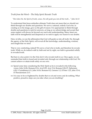# *Truth from the Word – The Holy Spirit Reveals Truth*

*"But when He, the Spirit of truth, comes, He will guide you into all the truth…" John 16:13* 

To understand that Jesus embodies ultimate Truth does not mean that we should not think through our doubts and questions. We serve a rational, orderly God who, in creating us in his image, gave us the gift of reason. It is appropriate to think through doubts and questions to seek for answers, as long as we acknowledge and accept that some matters will always be beyond our reach and understanding. Many times our faith will be strengthened and deepened as we seek to apply our reason to our doubts.

Here, in John, we see the affirmation that God will guide us into all truth. He, through the agency of the Holy Spirit, will reveal all the knowledge, understanding, wisdom, and insight that we need.

That is very comforting, indeed! We serve a God who is truth, and therefore he reveals truth. While we do indeed walk by faith and not by sight, our faith is grounded solidly in revealed truth.

But here is a key point: it is the *Holy Spirit* who reveals truth to us. Once again, we are reminded that truth is found and revealed only through our relationship with God. We cannot achieve or attain truth solely on our own.

- $\alpha$  Spend some time considering the Holy Spirit as he is revealed in the following verses: John 14:26, Romans 8:14, Acts 8:29, Acts 13:4, Romans 8:26-27, Ephesians 4:30, I Corinthians 6:11, John 14:16, Romans 8:2, Genesis 1:2, II Peter 1:21, John 3:5-6, II Thessalonians 2:13.
- $\infty$  It is easy to be so frightened by doubts that we sit and worry and do nothing. What positive, proactive steps can you take when you are doubting?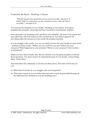*Truth from the Word – Doubting is Human* 

*"Why has my pain been perpetual and my wound incurable, refusing to be healed? Will You indeed be to me like a deceptive stream with water that is unreliable?" Jeremiah 15:18* 

You need not be ashamed of your doubts. Doubting is very human. Even great prophets like Jeremiah, whose lips had been touched by God himself, doubted.

Here, Jeremiah was doubting God's goodness and reliability. He knew God existed and had called him, but God seemed to have let him down. God didn't appear to be providing either the resources or the results his prophet expected.

In your struggle with anxiety, you are very likely to have the same doubts at some point – perhaps at many points: "Where are you, God? Do you care? Where are your resources? What happened to your promises? Where is your presence? I feel so alone – so abandoned."

When you have these doubts, take this for comfort: even the great prophets of old had those questions. You don't need to be ashamed because of your doubts. Acknowledge them. Admit them.

And remember this: ultimately, God never let them down. The same will be true for you.

- $\alpha$  What kind of doubts do you struggle with most frequently?
- $\infty$  What does it mean to you to realize that men and women of great faith through all the millennia have doubted as you are doubting now?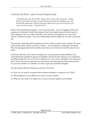# *Truth from the Word – Move Forward Despite Doubt*

*"Therefore, thus says the LORD, 'If you return, then I will restore you – before Me you will stand; and if you extract the precious from the worthless, you will become My spokesman. They for their part may turn to you, but as for you, you must not turn to them.'" Jeremiah 15:19* 

When I first studied this passage – and even since then – I have struggled with God's response to Jeremiah's doubt and despair. Here, his prophet poured out his heart to God, asking if God was really with him, if he cared, if was going to act. And God's answer is almost brusque: "Get your relationship with me right, do your job, and stand up."

Not exactly comforting. But sometimes, the fact is that we don't need comfort. We need a kick in the pants. Doubt can mire us down – as it evidently was doing for Jeremiah. Plus, he had apparently let his doubts draw him away from God. On all fronts, he was stuck.

God knew that this was a time for tough love, so he pointed out the problem, and commanded his prophet to get his act together and do his job. Likewise, we sometimes need this tough love. It's as if God is saying to us, "Yes, you're doubting. Yes, things are hard. Here's my answer: get back on your knees and start praying, then stand up and do your job, doubts or no doubts. It's time to get your priorities straight."

No pity parties allowed. Stand up, and move forward.

 $\alpha$  How do you tend to respond when someone rebukes or reproves you? Why?

 $\infty$  What happens to your faith if you focus on your doubts?

 $\alpha$  What do you need to do right now to move forward despite your doubts?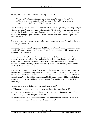*Truth from the Word – Obedience Strengthens Faith* 

*"'Then I will make you to this people a fortified wall of bronze; and though they fight against you, they will not prevail over you; for I am with you to save you and deliver you,' declares the LORD." Jeremiah 15:20*

God didn't stop with his rebuke to Jeremiah. After delivering a solid, "Stand up and get with the program," God gave a powerful promise: "I will make you a fortified wall of bronze – I will make you so strong that nothing and no one will prevail over you. And if that is not enough, I give you my oath that I will be with you, I will save you, and I will deliver you."

That is some promise. It takes at least a little of the sting away from the kick in the pants God just gave Jeremiah.

But notice what precedes the promise: that little word "then." This is a cause-and-effect promise. *If* you return, *then* I will restore. *If* you do your job, *then* I will strengthen. *If* you obey, *then* I will save.

What's going on here? God is declaring a great truth: *obedience strengthens faith.* Doubt can draw us away from God, if we let it. Obedience is the conscious act of turning toward God. It can seem counterintuitive to turn toward the One whom we are doubting, but this is the key: *obedience is an act of the will.* We can always choose to be obedient, doubts or no doubts.

When we act in obedience in the face of our doubts – when we turn to God despite the fact that we feel like we hardly know or understand him – he gives us this tremendous promise in turn: "Your doubts will fade. Your faith will be restored. Your spirit will be strengthened. Your life will be transformed. Nothing and no one will be able to batter you down, because *you* will have learned to stand firm and because *I myself* will do battle for you."

- $\alpha$  How do doubts try to impede your obedience to God?
- $\infty$  What does it mean to you to realize that obedience is an act of the will?
- $\alpha$  How might struggling with doubts and learning to be obedient in the face of them strengthen your faith and your character?
- $\alpha$  What does it mean to you to realize that God will deliver on this great promise if you choose to live in obedience despite your doubts?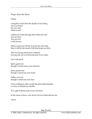## *Prayer from the Heart*

Father,

I drag the words from the depths of my being: Are you there? Do you care? What is real?

I affirm the truth through sheer faith and will: You are here. You are love. I will survive.

When I read your Word, it seems dry and stale. May it still be the bread of life that keeps me alive.

The ever-living stream has vanished, leaving only my ever-flowing tears in its wake.

Yet I will stand.

Spirit, guide me though I cannot sense your presence.

Jesus, protect me though I cannot see your hand.

Father, love me though I cannot see your face.

I have nothing to offer except the grim determination to carry on despite my doubts.

It is a gift of blood, and sweat, and tears.

In the name of Jesus, who always lives to intercede for me,

Amen.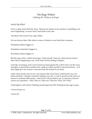# The Rage Within *Calming the Violence of Anger*

## *Inside My Mind*

I have a deep secret that few know. Beyond my shame at my anxiety is something even more frightening. A secret I feel I must hide at all costs.

And that is the secret of my rage within.

It is not always there. But when it comes, it breaks on my brain like a tsunami.

Sometimes failure triggers it.

Sometimes exhaustion triggers it.

Sometimes shame triggers it.

But the rage comes, violent and angry: I hate myself. I hate my mind and my brain. I hate what is happening to me. And I hate God for letting it happen.

I feel like screaming, and I want to beat my head against the wall to drive out the crazy thoughts, to pound the anxieties into a pulp, to injure myself to unconsciousness – as if that might give me an hour's surcease from the tumult in my brain.

I hate what anxiety does to me. I am furious that I have been victimized by my own brain and body. I despise myself for failing every day. I want to pound on the doors of heaven to demand deliverance – and if God will not deliver me, I want him at least to answer my questions – *Why? Why me? Why now? Why this? Why, God? Why?*

I hold tight to self-control. Holding myself rigid and still. Waiting for the rage to pass.

I must not give in.

I must not.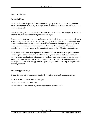### *Practical Matters*

#### **For the Sufferer**

Be aware that this chapter addresses only the anger you feel at your anxiety problem itself. Underlying issues of anger or rage, perhaps because of past hurts, are outside the scope of this study.

First, then, recognize that **anger itself is not sinful.** You should not assign any blame to yourself because the feeling of anger rises within you.

Second, realize that **anger is a natural response.** Not only is your anger not sinful, but it is completely understandable. You are struggling with complex and interrelated issues that touch every area of life, you have suffered for months if not years, you may have faced scorn or lack of understanding from others, etc. A person would have to be superhuman not to feel anger at the pain, the trials, and the difficulties encountered.

Third, focus on the fact that **anger can be channeled into positive or negative actions.** For example, a negative action would be inflicting harm on yourself or another person (or even on an inanimate object). A positive action would be choosing to use the energy anger provides to take an active step forward in your recovery. Anxiety breeds apathy, but anger floods us with energy. In that regard, anger can be a blessing in disguise: use its energy wisely!

#### **For the Support Group**

The advice above is so important that I will re-state it here for the support group:

- $\alpha$  **Affirm** the sufferer's right to be angry.
- $\infty$  **Seek** to understand their pain.
- $\alpha$  **Help** them channel their anger into appropriate positive action.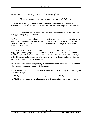*Truth from the Word – Anger is Part of the Image of God* 

*"His anger is but for a moment, His favor is for a lifetime." Psalm 30:5* 

Time and again throughout both the Old and New Testaments, God is revealed as experiencing anger. Therefore, we can state with sureness that anger is an appropriate part of God's character.

But now we need to move one step further: because we are made in God's image, *anger is an appropriate part of our character*.

God's anger is against sin and unrighteousness. Our anger, unfortunately, tends to be a lot more wide-ranging, and often includes things we have no right to be angry about. Another problem is that, while God always demonstrates his anger in appropriate ways, we often do not.

Because we are often angry at inappropriate things or act our anger out in inappropriate ways, people sometimes tell us (or we tell ourselves) that "we should *never* be angry." "Never"? No, that is a lie of the devil. We have every right to be angry at the things that make God angry. We have every right to demonstrate and act on our anger as long as we do not sin in doing so.

Rather than being ashamed of your anger, it is time to hold it up to the light, examine it, reject what is sinful, and embrace what is good.

- $\infty$  What does it mean to you to realize that anger, in and of itself, is part of the image of God within you?
- $\alpha$  What parts of your anger at your anxiety are justifiable? What parts are not?
- $\alpha$  What is an appropriate way of addressing or demonstrating your anger? What is not?

Page 59 of 81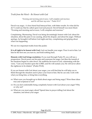*Truth from the Word – Be Honest with God*

*"Evening and morning and at noon, I will complain and murmur, and He will hear my voice." Psalm 55:17* 

David was angry. A close friend had betrayed him, with bitter results. So what did he do? I could say that he called upon God and prayed. David himself was more blunt: "Evening and morning and at noon, I will complain and murmur."

Complaining. Murmuring. David was being devastatingly honest with God: about his situation, about the pain it was causing, about his despair, and about his anger. Without apology, he brought it all before God night and day, complaining and griping about what was happening.

We see two important truths from this psalm:

**It is all right to be honest with God.** God can handle your anger. Pour it out to him. Let him be the first one you turn to, and hold nothing back.

**Honesty with God brings resolution.** If you read through Psalm 55, you will see a progression. David pours out his pain and expresses his anger, but then the tumult of his emotions begins to calm down. He reaffirms his trust in God, culminating with the verse, "Cast your burden upon the LORD, and He will sustain you; He will never allow the righteous to be shaken" (Psalm 55:22).

If you are honest with God about your anger, you will find that he will help you to think through the situation and to place your trust in him. But he can only work with what you bring him, so bring him everything.

- $\alpha$  What were you brought up to think about anger and being angry? Were these ideas true and scriptural or not?
- $\alpha$  Do you feel comfortable being completely honest with God about your anger? Why or why not?
- $\alpha$  What are you most angry about? Spend time in prayer telling God about the situation, and about your anger.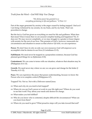*Truth from the Word – God Will Help You Change* 

*"His divine power has granted to us everything pertaining to life and godliness." II Peter 1:3* 

Part of the anger generated by anxiety is the anger caused by feeling trapped. I feel as if I am being victimized by my anxiety, by my brain, and by my body. That I am powerless to change.

But the fact is, God has given us everything we need for life and godliness. What does that mean? Does it mean that we are assured complete healing and happiness? No. It does not. We may recover completely, or we may struggle to a greater or lesser degree with anxiety for the rest of our lives. This promise of God's, however, transcends our circumstances and situation to assure us that *whatever life holds*, we can experience:

**Power.** We don't have to rely on only our own resources; God will empower us to accomplish what he desires in our lives (I Corinthians 2:3-5).

**Fulfillment.** We need never be trapped in a purposeless existence, because God has planned good things for us (Ephesians 2:10).

**Contentment.** We can come to terms with our situation, whatever that situation may be (Philippians 4:11-13).

**Growth.** We need never stay where we are; we can grow and change for the better (I Timothy 6:11-12).

**Peace.** We can experience the peace that passes understanding, because we know the Person who is in complete control (Philippians 4:7).

Trapped? No. Not us. Not with a Deliverer named Jesus.

- $\infty$  When and why do you tend to feel trapped?
- $\alpha$  Where do you see God's power at work in your life right now? Where do you want to see him work? Pray about your needs and desires for change.
- Z What makes you feel fulfilled?
- $\alpha$  Who do you know who is contented, despite difficult life circumstances? What can you learn from them?
- $\alpha$  Where do you need to grow? What proactive steps will you take toward that end?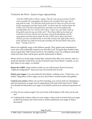# *Truth from the Word – Express Anger Appropriately*

*"And the LORD spoke to Moses, saying, 'Take the rod; and you and your brother*  Aaron assemble the congregation and speak to the rock before their eyes, that it *may yield its water. You shall thus bring forth water for them out of the rock and let the congregation and their beasts drink.' So Moses took the rod from before the LORD, just as He had commanded him; and Moses and Aaron gathered the assembly before the rock. And he said to them, 'Listen now, you rebels; shall we bring forth water for you out of this rock?' Then Moses lifted up his hand and struck the rock twice with his rod; and water came forth abundantly, and the congregation and their beasts drank. But the LORD said to Moses and Aaron, 'Because you have not believed Me, to treat Me as holy in the sight of the sons of Israel, therefore you shall not bring this assembly into the land which I have given them.'" Numbers 20:7-12* 

Moses was rightfully angry at the Hebrew people. They griped and complained at every turn, and continually turned away from the Lord. Yet again they needed water, and yet again they didn't trust God for it. Nevertheless, God was willing to meet their needs one more time, and he gave specific instructions to Moses.

Moses, however, let his anger control him, instead of the other way around. And as a result, he himself would never see the Promised Land. From Moses' example, we see that when we are angry, we should:

**Honor the LORD.** Anger tends to make us very self-focused. Even if you have "righteous indignation," keep your eyes off yourself and on God.

**Watch your tongue.** You can positively hear Moses' scathing voice, "Listen now, you rebels!" Regardless of how angry you are, don't throw around insults and epithets.

**Control your actions.** When you are fit to bursting, you want to lash out. Sometimes a physical expression of anger may be appropriate, but most of the time it isn't. While you should not internalize your anger, you should control your outward expressions of it.

- $\alpha$  How do you express anger? Are you in line with Scripture with what you do and say?
- $\alpha$  Looking back at times when you were angry, what words or actions fed your anger so that it increased, and what words or actions addressed your anger so that it decreased?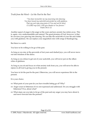*Truth from the Word – Let the Past be the Past* 

*"You have turned for me my mourning into dancing; You have loosed my sackcloth and girded me with gladness, That my soul may sing praise to You and not be silent O LORD my God, I will give thanks to You forever." Psalm 30:11-12* 

Another aspect of anger is the anger at the years and joys anxiety has stolen away. This is, again, very understandable and natural. The great promise of God, however, is that he can turn your grieving into dancing. He can take the sackcloth of your life and clothe you with gladness. He can replace your anguished cries with songs of thanksgiving.

But there is a catch.

You have to be willing to let go of the past.

As long as you stay at the graveside of lost years and dashed joys, you will never move out into freedom of the dance.

As long as you refuse to get out of your sackcloth, you will never put on the silken robes of gladness.

As long as you sit and focus on what anxiety took from you, you will never be able to rejoice in all God is giving you in the present.

You have to let the past be the past. Otherwise, you will never experience life in the present.

It is your choice.

- $\alpha$  What parts of your past do you have trouble letting go of? Why?
- $\alpha$  Anger sours to bitterness if it is not expressed and addressed. Do you struggle with bitterness? If so, about what?
- $\infty$  What steps can you take to let go of the past and any anger you may have about it, and move forward into the present?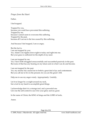*Prayer from the Heart* 

Father,

I feel trapped.

Trapped by you, because you could have prevented this suffering. Trapped by me, because I cannot seem to overcome this suffering. Trapped by the past, because all I can see is the loss caused by this suffering.

And because I feel trapped, I am so angry.

But the fact is, I am not trapped by you: Yes, Adam's sin ripples down right to today and right into me. But your grace is sufficient for the depth of my need.

I am not trapped by me:

Yes, I have both struggled unsuccessfully and succumbed passively in the past. But none of that has any bearing on my future and on what I can do and become.

I am not trapped by the past: Yes, my anxiety has caused me to forfeit a great deal of joy and contentment.

But you call me to live in the present, for you are the great I AM.

Help me to use my anger wisely. Appropriately. Usefully.

Let it no longer be a weight around my neck, but a tool in my hand to accomplish great things.

I acknowledge that it is a strange tool, and a powerful one. Give me the self-control to use it for your glory and my good.

In the name of Christ, the KING of kings and the LORD of lords,

Amen.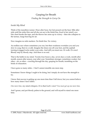# Gasping for Breath

## *Finding the Strength to Carry On*

## *Inside My Mind*

Think of the marathon runner. Hour after hour, her feet pound out the beat. Mile after mile until the miles blur and all she can see is the finish line, fixed in her mind's eye. Her chest breaks the tape, and she throws her arms up in victory – then she collapses to the tarmac, lungs heaving for air.

Now imagine no mile markers. No finish line. No victory.

An endless race where sometimes you run, but then weakness overtakes you and you slow to a jog, then to a walk. Imagine the shoes run off your feet, and the asphalt turning to jagged rocks under your soles. And still you must run. Or walk. Or crawl. Bloody step by bloody step. And there is no end.

That is the battle in my mind. Twenty-four hours a day, seven days a week, month after month, season after season, year after year. Sometimes stronger, sometimes weaker, but often – oh, so often – crawling through the day, gasping for breath, trembling on the brink of exhaustion.

I have gone so many miles – I feel I cannot stumble one more step.

Sometimes I know things I ought to be doing, but I simply do not have the strength to try.

I know that success is getting up one more time than I fall down, but you cannot believe how many times I have fallen.

*One more time,* my mind whispers. Or is that God's voice? *You must get up one more time.*

And I groan, and put bloody palms to the ground, and will myself to stand one more time.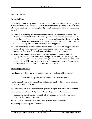### *Practical Matters*

#### **For the Sufferer**

I can't tell you how many times I have reminded myself that "Success is getting up one more time than you fall down." That itself has prodded me, groaning, to my feet. But in addition to applying pure and simple willpower, here are some other ways of gaining strength:

- $\alpha$  Make sure you keep the lines of communication open between you and God. Praying, reading the Word, and engaging in worship are vital to your survival. No matter how small the prayers, no matter if you can only take in a single verse a day, no matter if one song leaves you exhausted – keep the lines of communication open. God will honor your faithfulness with his unending grace.
- $\infty$  **Learn more about anxiety.** Don't believe Satan's lie that you are trapped forever in anxiety. Read books, research on the Internet, and engage in professional counseling. Learn the facts, tools, and techniques to help you get *out*.
- $\infty$  **Believe that you can change.** I cannot stress this enough: people often stay in anxiety because they think they *cannot* change. That is a lie. *You can change*. Your life can change. You do not have to stay where you are now. When you truly embrace that truth, it will fill you with new energy … the energy called *hope*. The race is *not* interminable – there *is* a finish line, and you *can* reach it.

#### **For the Support Group**

Here I need to address you as the support group very seriously. Listen carefully:

*Anxiety is a long-term problem and requires long-term support.* 

Read it again. Don't just nod your head and pass on lightly – this is serious business. Long-term support might mean:

- Z Providing *years* of consistent encouragement not just days or weeks or months.
- $\alpha$  Growing in both knowledge and understanding of the sufferer's issues.
- $\alpha$  Supporting the sufferer through difficult life-changes that may be essential to relieving their long-term stress.
- $\alpha$  Being patient as the sufferer addresses the same issues repeatedly.
- $\infty$  Praying consistently for the sufferer.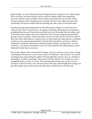Quite frankly, we aren't that good at providing long-term support in our culture today. We're too busy, too self-centered, and too used to instant results. But supporting someone with an anxiety problem turns all that on its head: We have to slow down, because someone who is hurting needs our help. We have to be other-focused, often sacrificially. We have to realize that true healing may take years of work and effort.

Sacrificial giving means being there for the other person. When it's convenient and when it's not. Year in and year out. Accepting, reassuring, lifting them up, sometimes prodding them forward. Does that mean that you are to be treated like an endless well of resources that is there only to be sucked dry? By no means! Appropriate sacrificial giving is also *wise* giving – that means that you have to take care of yourself in order to take care of the other person. It means that you learn about the other person's condition so that you can respond appropriately. It means that sometimes you have to deliver tough love to help the other person embrace positive change. It means that – on rare occasions – you need to step back or even out of the picture if the other person is more interested in pity than in recovery.

But for the sufferer who *is* interested in change, who *does* want to recover, who *is* doing everything in their power to move into a place of wholeness – *they need you*. *You* can be an integral part of providing the sufferer the strength they need to carry on. Anxiety is exhausting – terribly exhausting. They need your help. But for you to help, for you to strengthen them, *you have to be there*. The most important thing you can give is your presence: *be there* for them. You will never know the hope and strength and courage you provide simply because they know that they have a friend who is on their side.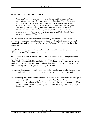# *Truth from the Word – God is Compassionate*

*"And Elijah was afraid and arose and ran for his life …. He lay down and slept under a juniper tree; and behold, there was an angel touching him, and he said to him, 'Arise, eat.' Then he looked and behold, there was at his head a bread cake baked on hot stones, and a jar of water. So he ate and drank and lay down again. The angel of the LORD came again a second time and touched him and said, 'Arise, eat, because the journey is too great for you.' So he arose and ate and drank, and went in the strength of that food forty days and forty nights to Horeb, the mountain of God." I Kings 19:3-8* 

This passage is, to me, one of the most tender images we have of God. We see Elijah – the strong, courageous, faithful prophet – exhausted. Completely done in physically, emotionally, mentally, and spiritually. He actually begged God to let him die in the wilderness.

Does God rebuke his prophet? Get irritated and demand that Elijah stand up and get with the program? Tell him to snap out of it?

No. God comes to him. In person. This is "the angel of the LORD" – the preincarnate Christ. And God makes him a meal, bids him eat, and tells him to go back to sleep. And when Elijah wakes up, God has again been in the kitchen, and has made him a second meal. And as he eats, God says softly, "I know how hard this is. I know this is a tough journey. Take your time. Regain your strength. I'm here."

- $\alpha$  Imagine God coming to you in your pain and exhaustion and comforting you as he did Elijah. Take the time to imagine in the scene in detail. How does it make you feel?
- $\infty$  One of the places that God meets with us to extend us his comfort and his strength is during our quiet time: time we spend reading his Word and talking with him. How is your quiet time right now? What do you tend to do during your quiet time? How long do you spend? Are you spending enough time to actually be able to quiet your heart to hear God speak?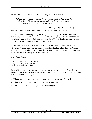*Truth from the Word – Follow Jesus' Example When Tempted*

*"Then Jesus was led up by the Spirit into the wilderness to be tempted by the devil. And after He had fasted forty days and forty nights, He then became hungry. And the tempter came …" Matthew 4:1-3* 

The reason Jesus can be our merciful and faithful high priest (Hebrews 4:14-15) is because he suffered as we suffer, and he was tempted as we are tempted.

Consider: Jesus wasn't tempted by Satan right after coming up out of the water of baptism, right after being announced as the Lamb of God, right after hearing the voice from heaven and seeing the Spirit descend as a dove. Temptation then would have been easy to overcome: Jesus would have been feeling great.

No. Instead, Satan waited. Waited until the Son of Man had become exhausted in the wilderness. Waited until forty days and nights of fasting had taken their toll. Waited until the pain, the sunburn, the blisters, the dirt, and the fatigue had accomplished their dreadful work on the body of the incarnate Word.

Then, Satan struck.

*"Why don't you take the easy way out?" "Why don't you give in to pride?" "Why don't you forget about God?"* 

Satan whispers such dreadful temptations to us when we are exhausted, too. But we have an example we can follow: our Savior, Jesus Christ. The same Word that he turned to is available for us, every day.

- $\alpha$  What temptations do you most commonly face when you are exhausted?
- $\alpha$  What Scriptures can you turn to to resist these temptations?
- $\alpha$  Who can you turn to to help you resist these temptations?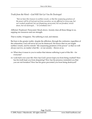*Truth from the Word – God Will Not Let You Be Destroyed*

*"But we have this treasure in earthen vessels, so that the surpassing greatness of the power will be of God and not from ourselves; we are afflicted in every way, but not crushed; perplexed, but not despairing; persecuted, but not forsaken; struck down, but not destroyed…" II Corinthians 4:4-7* 

Afflicted. Perplexed. Persecuted. Struck down. Anxiety does all those things to us, sapping our resources and our strength.

That is reality. It happens. The suffering is real, and intense.

But here is the greater reality: despite the affliction, through the confusion, regardless of the exhaustion, God will never let you be destroyed. He knows that we are fragile earthen vessels, and he extends "the surpassing greatness of his power" so that we will always survive, no matter what life – or our anxiety – throws at us.

- $\alpha$  What does it mean to you to realize that intense suffering is part of this life for everyone?
- $\alpha$  Look back over your life: How has God's power kept you from being crushed? How has his truth kept you from despairing? How has his presence reminded you that you are not forsaken? How has his grace prevented you from being destroyed?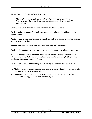*Truth from the Word – Rely on Your Father* 

*"For you have not received a spirit of slavery leading to fear again, but you have received a spirit of adoption as sons by which we cry out 'Abba! Father!'" Romans 8:15* 

Consider the contrast we see in this verse as we apply it to anxiety:

**Anxiety makes us slaves.** God makes us sons and daughters – individuals free to choose and to act.

**Anxiety leads to fear.** God leads us to security as we trust in him and gain the courage to move forward in life.

**Anxiety isolates us.** God welcomes us into his family with open arms.

**Anxiety robs us of our resources.** God makes all his resources available for the asking.

When we crumple with exhaustion, when we feel our anxiety has beaten us down, when we are afraid that we will not make it, when we have nothing left to give, we need to do one thing: *rely on our Father.* 

- $\infty$  How can a better understanding of our identity in Christ help us address our anxiety?
- $\infty$  What do you have trouble trusting God with, and why? What steps can you take to begin entrusting these matters to God?
- $\infty$  What does it mean to you to realize that God is your Father always welcoming you, always loving you, always ready to help you?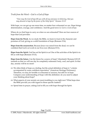*Truth from the Word – God is a God of Hope* 

*"Now may the God of hope fill you with all joy and peace in believing, that you may abound in hope by the power of the Holy Spirit." Romans 15:13* 

With hope, we can get up one more time, no matter how exhausted we are. Hope brings determination, courage, and confidence. And the good news is: *God is a God of hope.*

Where do we find hope to carry on when we are exhausted? Here are four sources of hope that God provides:

**Hope from the Word.** As we study the Bible, we learn to trust in the character and promises of God, giving us a solid foundation of hope (Romans 15:4).

**Hope from the resurrection.** Because Jesus was raised from the dead, we can be confident that God is at work in our lives now (Romans 8:11).

**Hope from the Spirit.** God has set his Spirit in us! One of the activities of the Spirit is to fill us with hope (Romans 15:13).

**Hope from the future.** Can the future be a source of hope? Absolutely! Romans 8:23-25 reminds us that we will one day be completely redeemed: body, soul, and spirit. In that day, anxiety will be no more!

- $\infty$  We often think of hope as a feeling, but the actual definition of hope is "a desire accompanied by some confident expectation" (American Heritage Dictionary). Therefore, we may *feel* terrible or exhausted or anxious, but still *live* in hope. Compare your understanding of hope with this definition: do you need to adjust your thinking about hope?
- $\alpha$  What aspects of your anxiety are most troubling to you right now? What hope does the Bible provide you with regard to those specific matters?
- $\alpha$  Spend time in prayer, asking God to fill you with hope through his Spirit.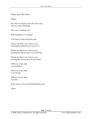## *Prayer from the Heart*

Father,

My soles are bloody from the hard road, and my soul is bleeding.

How can I continue on?

Will anything ever change?

I lost hope a long, long time ago.

Thank you that I can come to you, trusting the tenderness of your love.

Thank you that I can come to you, trusting the effectiveness of your Word.

Thank you that I can come to you, trusting the resurrection of your hope.

With you at my side, I can continue.

With you at my side, I can change.

With you at my side, I can live.

In the name of Jesus, the Suffering Servant,

Amen.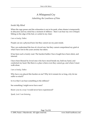# A Whispered Cry

# *Admitting the Loneliness of Pain*

## *Inside My Mind*

When the rage passes and the exhaustion is not at its peak; when shame is temporarily in abeyance and my mind has a moment of stillness – then I can hear my own whisper. Sitting on the edge of the bed, or curled in my chair:

*I am so lonely, Father.* 

People can see a physical hurt, but they cannot see my pain inside.

They can understand the loss of a loved one, but they cannot comprehend my grief at what I have lost in the years anxiety has taken.

It has been such a lonely road. The hardest battles I have fought have been silent, and internal.

I have been blessed by loved ones who have stood beside me, held my hand, and comforted my heart. But there is a place where even they cannot go, and where I must walk alone.

#### *I am so lonely, Father.*

Why have you placed this burden on me? Why let it remain for so long, why let me suffer so much?

Is it so that I can hear something in the stillness?

See something I might never have seen?

Know you in a way I would never have experienced?

*Speak, Lord. I am listening.*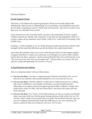### *Practical Matters*

#### **For the Support Group**

This time, I will address the support group first. Please do not make light of the suffering the other person is experiencing. It is excruciating. And along that same line, do not make comparisons such as "Well, look at *that* person – they have it much worse than you. You shouldn't feel so bad!"

I have learned over the years this truth: *any* pain is all-consuming. It doesn't matter whether I just hit my thumb with a hammer, or just had my leg amputated. When I'm in pain, it takes all my attention, and it really, really *hurts*. And when I'm hurting, I feel terribly *alone*.

So please – be the shoulder to cry on. Be the strong arm that encircles the sufferer with strength. Be the hand that lifts them up. Be the friend who walks beside them.

And when the loneliness hits at its worst, when the pain drives to the deepest depths, recognize that there is a place you cannot go, even though you yearn to offer comfort. Just be there for them, and pray. And be assured that the One who cried from the cross "My God, my God, why have you forsaken me?" will go where you cannot. He, and only he, is Jehovah Shammah: *the God who is Present.*

#### **A Final Word for the Sufferer**

This is so important that I will say it three times:

- $\alpha$  **You are not alone.** You have a support group of friends and family who, even if they have not suffered with anxiety themselves, love you and care for you.
- $\alpha$  **You are not alone.** Literally millions of others have walked and are now walking this road. In addition to your family and friends, you may benefit from the fellowship of an online or physical support group of fellow sufferers. People who really know what's it's like, who have been there, who know the ropes and who know the pain.
- $\infty$  **You are not alone.** Yes, I know: in the final analysis, no man or woman can literally share your pain with you. But the great, freeing, glorious truth is this: *God can*. On Calvary, Jesus' hands were scarred with your pain. His feet bled from the road you are now walking. His head bent under the suffering you are now enduring. He knows, and he is with you so that *you will never, ever be alone.*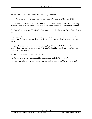*Truth from the Word – Friendship is a Gift from God* 

*"A friend loves at all times, and a brother is born for adversity." Proverbs 17:17*

It is easy to cut ourselves off from others when we are suffering from anxiety. Anxiety makes us fear. Fear makes us doubt. Doubt makes us ashamed. Shame makes us hide.

But God whispers to us, "This is what I created friends for. Trust me. Trust them. Reach out."

Friends stand by us when we are anxious. They support us when we are afraid. They bolster our faith when we are doubting. They remind us that they love us, no matter what.

But your friends need to know you are struggling if they are to help you. They need to know where you hurt in order to comfort you. So don't hesitate. Reach out. Your true friends will reach back.

- $\infty$  Who are your best and closest friends?
- $\alpha$  Do you ever avoid reaching out to your friends for help? If so, why?
- $\alpha$  Have you told your friends about your struggle with anxiety? Why or why not?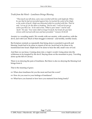# *Truth from the Word – Loneliness Brings Blessing*

*"Then Jacob was left alone, and a man wrestled with him until daybreak. When he saw that he had not prevailed against him, he touched the socket of his thigh; so the socket of Jacob's thigh was dislocated while he wrestled with him. Then he said, 'Let me go, for the dawn is breaking.' But he said, 'I will not let you go unless you bless me.' So he said to him, 'What is your name?' And he said, 'Jacob.' He said, 'Your name shall no longer be Jacob, but Israel; for you have striven with God and with men and have prevailed.'" Genesis 32:24-28* 

Anxiety is a wrestling match. We wrestle with our anxiety, with ourselves, with the devil, and with God. Much of that struggle is internal – and terribly, terribly lonely.

But Scripture reminds us repeatedly that being alone is essential to growth and blessing. Jonah had to be alone to repent of his sin. Jacob had to be alone to be transformed into Israel. Elijah had to be alone to hear the still, small voice of God.

And then we see Jesus. Coming alone into a virgin's womb. Going alone into the wilderness to be tempted by the devil. Staying alone on the mountain to pray. Traveling alone up the hill of Calvary.

There is no denying the pain of loneliness. But there is also no denying the blessing God brings from it.

That is the meaning of grace.

- $\alpha$  When does loneliness hit you the most and hurt the worst?
- $\infty$  How do you react to your feelings of loneliness?
- $\infty$  What have you learned or how have you matured from being lonely?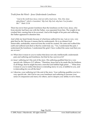*Truth from the Word – Jesus Understands Loneliness* 

*"And at the ninth hour Jesus cried out with a loud voice, 'Eloi, Eloi, lama sabachthani?' which is translated, 'My God, My God, why have You forsaken Me?'" Mark 15:34* 

There has never been greater loneliness than the loneliness on the Cross. Jesus, who from eternity had been one with the Father, was separated from him. The weight of sin crushed him, causing him to be accursed. And at the height of his pain and suffering, the Father appeared to abandon him.

And while my heart breaks because of what Jesus suffered for me, I am so very, very glad that he did. Because it means that he understands. He is no distant God: immovable, unshakable, removed from the world he created. He came and walked this earth and suffered and died so that he could truly say, "Yes, I understand the pain. I understand the loneliness. I understand the grief. I have walked the same road that you are on now."

- $\infty$  What does it mean to you to realize that Jesus not only intellectually understands pain and suffering and loneliness, but that he has *experienced* it?
- $\infty$  Jesus' suffering isn't the end of the story. His suffering qualified him for a very special role. Hebrews 2:17 affirms, "Therefore, Jesus had to be made like his brethren in all things, that he might become a merciful and faithful high priest …" What does it mean to you to realize that Jesus is extending mercy to you, is faithful to you, and is interceding for you all the time?
- $\alpha$  Likewise, your suffering isn't the end of the story. Your suffering qualifies you for a very special role. Ask God to use your loneliness and suffering to increase your sense of compassion and mercy for others, and to deepen your ability to serve them.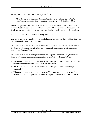*Truth from the Word – God is Always With Us* 

*"Now He who establishes us with you in Christ and anointed us is God, who also sealed us and gave us the Spirit in our hearts as a pledge." II Corinthians 1:21-22* 

Here is the glorious truth: *because* of the unfathomable loneliness and separation that happened at the Cross, *you and I will never be alone!* When Jesus rose victorious from the dead, he sent his Spirit to live in our hearts so that he himself would be with us always.

Think of it – because God himself is living within us:

**You never have to worry about your limited resources,** because the Spirit is within you with all of God's power (Romans 8:11).

**You never have to worry about your prayers bouncing back from the ceiling,** because the Spirit is within you, listening to every whisper of your heart and interceding on your behalf (Romans 8:26)

**You never have to worry that your anxiety will separate you from God,** because the Spirit is within you, guaranteeing your place in God's love (Romans 8:35-39).

- $\infty$  What does it mean to you to realize that the Holy Spirit is always living within you, regardless of whether or not you "feel" his presence?
- $\infty$  What does it mean to you to realize that the Holy Spirit is interceding for you constantly?
- $\infty$  What does it mean to you to realize that *nothing* not your anxiety, fear, doubt, shame, irrational thoughts, etc. – can separate you from the love of God in Christ?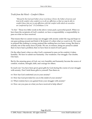```
Truth from the Word – Comfort Others
```
*"Blessed be the God and Father of our Lord Jesus Christ, the Father of mercies and God of all comfort; who comforts us in all our affliction so that we may be able to comfort those who are in any affliction with the comfort with which we ourselves are comforted by God." II Corinthians 1:3-4* 

*"So that."* Those two little words in the above verses pack a powerful punch. When we have been the recipients of God's comfort, we have a responsibility: a responsibility to pass on what we have received.

That means that we cannot sweep our struggle with anxiety under the rug and hope no one goes poking around and finds it. Be honest: it's often what we want to do. We want to pretend like nothing is wrong; pretend like nothing has ever been wrong. But that is actually one of the many faces of pride. We are, in essence, being too proud to admit that we have had a problem; that we have been in need of God's grace.

On the other hand, when we obey God's command to pass on his comfort, it takes humility. We have to admit our humanity. Our weakness. Our struggle. Our doubts. Our fears.

But by the amazing grace of God, our very humility and humanity become the source of comfort, wisdom, strength, faith, and courage for others.

So reach out. You have been given great gifts by God during the course of your struggle with anxiety. Don't hold those gifts to yourself. Pass them on.

- $\infty$  How has God comforted you in your anxiety?
- $\alpha$  How has God provided for you in the midst of your anxiety?
- $\alpha$  What wisdom have you gained from your struggle with anxiety?
- $\alpha$  How can you pass on what you have received to help others?